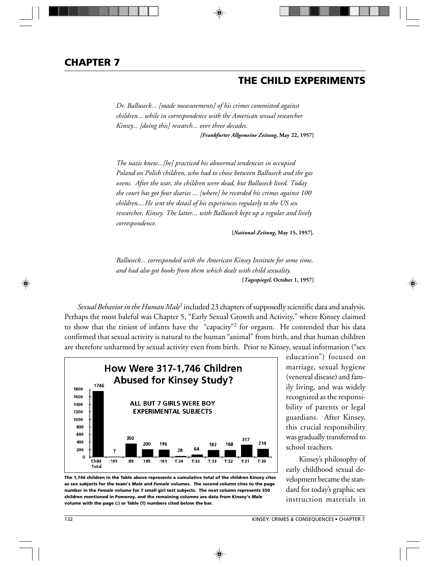# **THE CHILD EXPERIMENTS**

*Dr. Balluseck... [made measurements] of his crimes committed against children... while in correspondence with the American sexual researcher Kinsey... [doing this] research... over three decades. [Frankfurter Allgemeine Zeitung***, May 22, 1957]**

*The nazis knew...[he] practiced his abnormal tendencies in occupied Poland on Polish children, who had to chose between Balluseck and the gas ovens. After the war, the children were dead, but Balluseck lived. Today the court has got four diaries ... [where] he recorded his crimes against 100 children....He sent the detail of his experiences regularly to the US sex researcher, Kinsey. The latter... with Balluseck kept up a regular and lively correspondence.*

**[***National-Zeitung***, May 15, 1957]***.*

*Balluseck... corresponded with the American Kinsey Institute for some time, and had also got books from them which dealt with child sexuality.* **[***Tagespiegel,* **October 1, 1957]**

*Sexual Behavior in the Human Male*1 included 23 chapters of supposedly scientific data and analysis. Perhaps the most baleful was Chapter 5, "Early Sexual Growth and Activity," where Kinsey claimed to show that the tiniest of infants have the "capacity"2 for orgasm. He contended that his data confirmed that sexual activity is natural to the human "animal" from birth, and that human children are therefore unharmed by sexual activity even from birth. Prior to Kinsey, sexual information ("sex





education") focused on marriage, sexual hygiene (venereal disease) and family living, and was widely recognized as the responsibility of parents or legal guardians. After Kinsey, this crucial responsibility was gradually transferred to school teachers.

Kinsey's philosophy of early childhood sexual development became the standard for today's graphic sex instruction materials in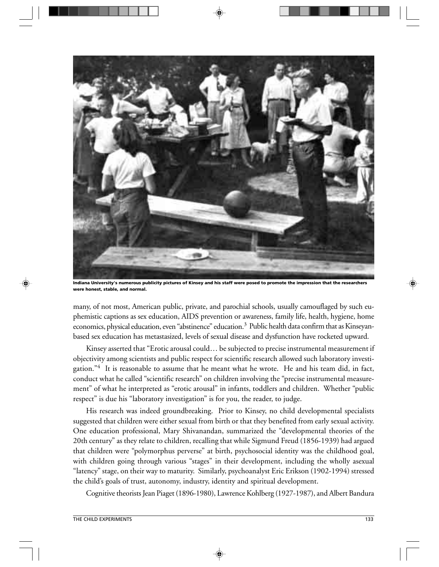

**Indiana University's numerous publicity pictures of Kinsey and his staff were posed to promote the impression that the researchers were honest, stable, and normal.**

many, of not most, American public, private, and parochial schools, usually camouflaged by such euphemistic captions as sex education, AIDS prevention or awareness, family life, health, hygiene, home economics, physical education, even "abstinence" education.3 Public health data confirm that as Kinseyanbased sex education has metastasized, levels of sexual disease and dysfunction have rocketed upward.

Kinsey asserted that "Erotic arousal could… be subjected to precise instrumental measurement if objectivity among scientists and public respect for scientific research allowed such laboratory investigation." $4$  It is reasonable to assume that he meant what he wrote. He and his team did, in fact, conduct what he called "scientific research" on children involving the "precise instrumental measurement" of what he interpreted as "erotic arousal" in infants, toddlers and children. Whether "public respect" is due his "laboratory investigation" is for you, the reader, to judge.

His research was indeed groundbreaking. Prior to Kinsey, no child developmental specialists suggested that children were either sexual from birth or that they benefited from early sexual activity. One education professional, Mary Shivanandan, summarized the "developmental theories of the 20th century" as they relate to children, recalling that while Sigmund Freud (1856-1939) had argued that children were "polymorphus perverse" at birth, psychosocial identity was the childhood goal, with children going through various "stages" in their development, including the wholly asexual "latency" stage, on their way to maturity. Similarly, psychoanalyst Eric Erikson (1902-1994) stressed the child's goals of trust, autonomy, industry, identity and spiritual development.

Cognitive theorists Jean Piaget (1896-1980), Lawrence Kohlberg (1927-1987), and Albert Bandura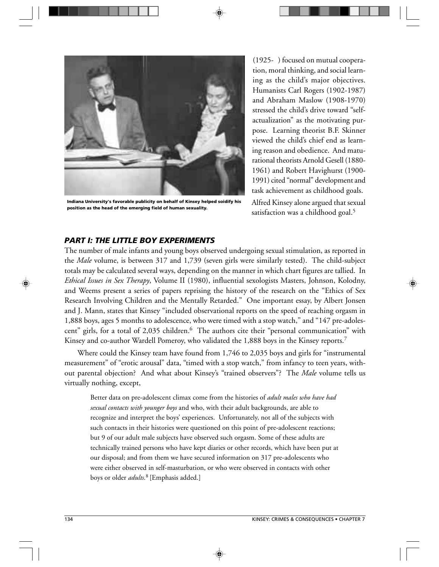

**Indiana University's favorable publicity on behalf of Kinsey helped soidify his position as the head of the emerging field of human sexuality.**

(1925- ) focused on mutual cooperation, moral thinking, and social learning as the child's major objectives. Humanists Carl Rogers (1902-1987) and Abraham Maslow (1908-1970) stressed the child's drive toward "selfactualization" as the motivating purpose. Learning theorist B.F. Skinner viewed the child's chief end as learning reason and obedience. And maturational theorists Arnold Gesell (1880- 1961) and Robert Havighurst (1900- 1991) cited "normal" development and task achievement as childhood goals.

Alfred Kinsey alone argued that sexual satisfaction was a childhood goal.<sup>5</sup>

# *PART I: THE LITTLE BOY EXPERIMENTS*

The number of male infants and young boys observed undergoing sexual stimulation, as reported in the *Male* volume, is between 317 and 1,739 (seven girls were similarly tested). The child-subject totals may be calculated several ways, depending on the manner in which chart figures are tallied. In *Ethical Issues in Sex Therapy*, Volume II (1980), influential sexologists Masters, Johnson, Kolodny, and Weems present a series of papers reprising the history of the research on the "Ethics of Sex Research Involving Children and the Mentally Retarded." One important essay, by Albert Jonsen and J. Mann, states that Kinsey "included observational reports on the speed of reaching orgasm in 1,888 boys, ages 5 months to adolescence, who were timed with a stop watch," and "147 pre-adolescent" girls, for a total of 2,035 children. $6$  The authors cite their "personal communication" with Kinsey and co-author Wardell Pomeroy, who validated the 1,888 boys in the Kinsey reports.<sup>7</sup>

Where could the Kinsey team have found from 1,746 to 2,035 boys and girls for "instrumental measurement" of "erotic arousal" data, "timed with a stop watch," from infancy to teen years, without parental objection? And what about Kinsey's "trained observers"? The *Male* volume tells us virtually nothing, except,

Better data on pre-adolescent climax come from the histories of *adult males who have had sexual contacts with younger boys* and who, with their adult backgrounds, are able to recognize and interpret the boys' experiences. Unfortunately, not all of the subjects with such contacts in their histories were questioned on this point of pre-adolescent reactions; but 9 of our adult male subjects have observed such orgasm. Some of these adults are technically trained persons who have kept diaries or other records, which have been put at our disposal; and from them we have secured information on 317 pre-adolescents who were either observed in self-masturbation, or who were observed in contacts with other boys or older *adults*. 8 [Emphasis added.]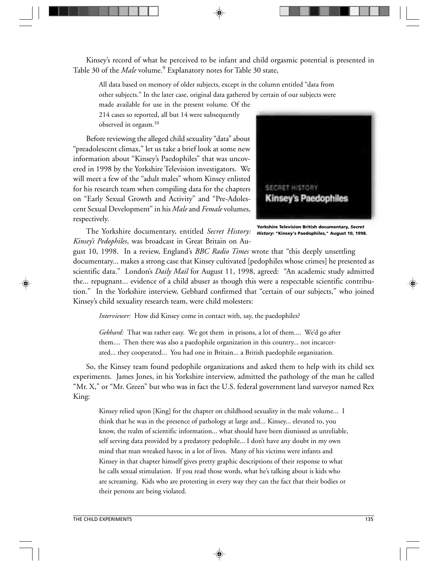Kinsey's record of what he perceived to be infant and child orgasmic potential is presented in Table 30 of the *Male* volume.<sup>9</sup> Explanatory notes for Table 30 state,

All data based on memory of older subjects, except in the column entitled "data from other subjects." In the later case, original data gathered by certain of our subjects were

made available for use in the present volume*.* Of the 214 cases so reported, all but 14 were subsequently observed in orgasm.10

Before reviewing the alleged child sexuality "data" about "preadolescent climax," let us take a brief look at some new information about "Kinsey's Paedophiles" that was uncovered in 1998 by the Yorkshire Television investigators. We will meet a few of the "adult males" whom Kinsey enlisted for his research team when compiling data for the chapters on "Early Sexual Growth and Activity" and "Pre-Adolescent Sexual Development" in his *Male* and *Female* volumes, respectively.

The Yorkshire documentary, entitled *Secret History: History***: "Kinsey's Paedophiles," August 10, 1998.***Kinsey's Pedophiles*, was broadcast in Great Britain on Au-



**Yorkshire Television British documentary,** *Secret*

gust 10, 1998. In a review, England's *BBC Radio Times* wrote that "this deeply unsettling documentary... makes a strong case that Kinsey cultivated [pedophiles whose crimes] he presented as scientific data."London's *Daily Mail* for August 11, 1998, agreed: "An academic study admitted the... repugnant... evidence of a child abuser as though this were a respectable scientific contribution." In the Yorkshire interview, Gebhard confirmed that "certain of our subjects," who joined Kinsey's child sexuality research team, were child molesters:

*Interviewer:* How did Kinsey come in contact with, say, the paedophiles?

*Gebhard:* That was rather easy. We got them in prisons, a lot of them.... We'd go after them.... Then there was also a paedophile organization in this country... not incarcerated... they cooperated... You had one in Britain... a British paedophile organization.

So, the Kinsey team found pedophile organizations and asked them to help with its child sex experiments. James Jones, in his Yorkshire interview, admitted the pathology of the man he called "Mr. X," or "Mr. Green" but who was in fact the U.S. federal government land surveyor named Rex King:

Kinsey relied upon [King] for the chapter on childhood sexuality in the male volume... I think that he was in the presence of pathology at large and... Kinsey... elevated to, you know, the realm of scientific information... what should have been dismissed as unreliable, self serving data provided by a predatory pedophile... I don't have any doubt in my own mind that man wreaked havoc in a lot of lives. Many of his victims were infants and Kinsey in that chapter himself gives pretty graphic descriptions of their response to what he calls sexual stimulation. If you read those words, what he's talking about is kids who are screaming. Kids who are protesting in every way they can the fact that their bodies or their persons are being violated.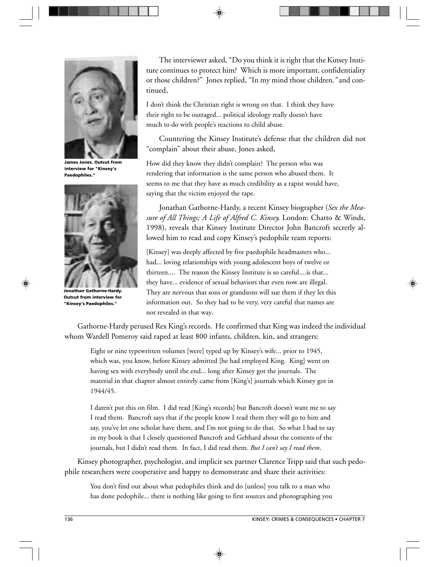

**James Jones. Outcut from interview for "Kinsey's Paedophiles."**



**Jonathan Gathorne-Hardy. Outcut from interview for "Kinsey's Paedophiles."**

The interviewer asked, "Do you think it is right that the Kinsey Institute continues to protect him? Which is more important, confidentiality or those children?" Jones replied, "In my mind those children*,"* and continued,

I don't think the Christian right is wrong on that. I think they have their right to be outraged... political ideology really doesn't have much to do with people's reactions to child abuse.

Countering the Kinsey Institute's defense that the children did not "complain" about their abuse, Jones asked,

How did they know they didn't complain? The person who was rendering that information is the same person who abused them. It seems to me that they have as much credibility as a rapist would have, saying that the victim enjoyed the rape.

Jonathan Gathorne-Hardy, a recent Kinsey biographer (*Sex the Measure of All Things; A Life of Alfred C. Kinsey,* London: Chatto & Winds, 1998), reveals that Kinsey Institute Director John Bancroft secretly allowed him to read and copy Kinsey's pedophile team reports:

[Kinsey] was deeply affected by five paedophile headmasters who... had... loving relationships with young adolescent boys of twelve or thirteen.... The reason the Kinsey Institute is so careful....is that... they have... evidence of sexual behaviors that even now are illegal. They are nervous that sons or grandsons will sue them if they let this information out. So they had to be very, very careful that names are not revealed in that way**.**

Gathorne-Hardy perused Rex King's records. He confirmed that King was indeed the individual whom Wardell Pomeroy said raped at least 800 infants, children, kin, and strangers:

Eight or nine typewritten volumes [were] typed up by Kinsey's wife... prior to 1945, which was, you know, before Kinsey admitted [he had employed King. King] went on having sex with everybody until the end... long after Kinsey got the journals. The material in that chapter almost entirely came from [King's] journals which Kinsey got in 1944/45.

I daren't put this on film. I did read [King's records] but Bancroft doesn't want me to say I read them. Bancroft says that if the people know I read them they will go to him and say, you've let one scholar have them, and I'm not going to do that. So what I had to say in my book is that I closely questioned Bancroft and Gebhard about the contents of the journals, but I didn't read them*.* In fact, I did read them*. But I can't say I read them***.**

Kinsey photographer, psychologist, and implicit sex partner Clarence Tripp said that such pedophile researchers were cooperative and happy to demonstrate and share their activities:

You don't find out about what pedophiles think and do [unless] you talk to a man who has done pedophile... there is nothing like going to first sources and photographing you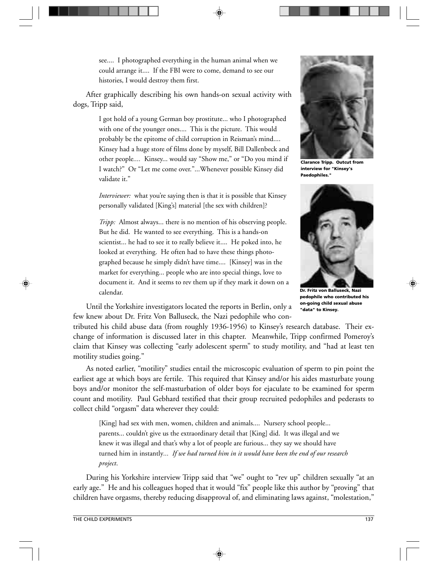see.... I photographed everything in the human animal when we could arrange it.... If the FBI were to come, demand to see our histories, I would destroy them first.

After graphically describing his own hands-on sexual activity with dogs, Tripp said,

> I got hold of a young German boy prostitute... who I photographed with one of the younger ones.... This is the picture. This would probably be the epitome of child corruption in Reisman's mind.... Kinsey had a huge store of films done by myself, Bill Dallenbeck and other people*....* Kinsey... would say "Show me," or "Do you mind if I watch?" Or "Let me come over."...Whenever possible Kinsey did validate it."

*Interviewer:* what you're saying then is that it is possible that Kinsey personally validated [King's] material [the sex with children]?

*Tripp:* Almost always... there is no mention of his observing people. But he did. He wanted to see everything. This is a hands-on scientist... he had to see it to really believe it.... He poked into, he looked at everything. He often had to have these things photographed because he simply didn't have time.... [Kinsey] was in the market for everything... people who are into special things, love to document it. And it seems to rev them up if they mark it down on a calendar.



**Clarance Tripp. Outcut from interview for "Kinsey's Paedophiles."**



**Dr. Fritz von Balluseck, Nazi pedophile who contributed his on-going child sexual abuse "data" to Kinsey.**

Until the Yorkshire investigators located the reports in Berlin, only a few knew about Dr. Fritz Von Balluseck, the Nazi pedophile who con-

tributed his child abuse data (from roughly 1936-1956) to Kinsey's research database. Their exchange of information is discussed later in this chapter. Meanwhile, Tripp confirmed Pomeroy's claim that Kinsey was collecting "early adolescent sperm" to study motility, and "had at least ten motility studies going."

As noted earlier, "motility" studies entail the microscopic evaluation of sperm to pin point the earliest age at which boys are fertile. This required that Kinsey and/or his aides masturbate young boys and/or monitor the self-masturbation of older boys for ejaculate to be examined for sperm count and motility. Paul Gebhard testified that their group recruited pedophiles and pederasts to collect child "orgasm" data wherever they could:

[King] had sex with men, women, children and animals.... Nursery school people... parents... couldn't give us the extraordinary detail that [King] did. It was illegal and we knew it was illegal and that's why a lot of people are furious... they say we should have turned him in instantly*... If we had turned him in it would have been the end of our research project*.

During his Yorkshire interview Tripp said that "we" ought to "rev up" children sexually "at an early age." He and his colleagues hoped that it would "fix" people like this author by "proving" that children have orgasms, thereby reducing disapproval of, and eliminating laws against, "molestation,"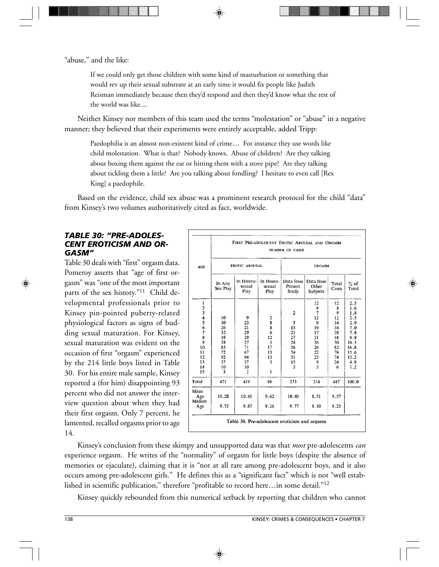#### "abuse," and the like:

If we could only get those children with some kind of masturbation or something that would rev up their sexual substrate at an early time it would fix people like Judith Reisman immediately because then they'd respond and then they'd know what the rest of the world was like....

Neither Kinsey nor members of this team used the terms "molestation" or "abuse" in a negative manner; they believed that their experiments were entirely acceptable, added Tripp:

Paedophilia is an almost non-existent kind of crime.... For instance they use words like child molestation. What is that? Nobody knows. Abuse of children? Are they talking about boxing them against the ear or hitting them with a stove pipe? Are they talking about tickling them a little? Are you talking about fondling? I hesitate to even call [Rex King] a paedophile.

Based on the evidence, child sex abuse was a prominent research protocol for the child "data" from Kinsey's two volumes authoritatively cited as fact, worldwide.

#### *TABLE 30: "PRE-ADOLES-CENT EROTICISM AND OR-GASM"*

Table 30 deals with "first" orgasm data. Pomeroy asserts that "age of first orgasm" was "one of the most important parts of the sex history."11 Child developmental professionals prior to Kinsey pin-pointed puberty-related physiological factors as signs of budding sexual maturation. For Kinsey, sexual maturation was evident on the occasion of first "orgasm" experienced by the 214 little boys listed in Table 30. For his entire male sample, Kinsey reported a (for him) disappointing 93 percent who did not answer the interview question about when they had their first orgasm. Only 7 percent, he lamented, recalled orgasms prior to age 14*.*

|                                                         |                                                                |                                                               |                                                                                    | NUMBER OF CASES                                             | FIRST PRE-ADOLESCENT EROTIC AROUSAL AND ORGASM                              |                                                                               |                                                                                                   |
|---------------------------------------------------------|----------------------------------------------------------------|---------------------------------------------------------------|------------------------------------------------------------------------------------|-------------------------------------------------------------|-----------------------------------------------------------------------------|-------------------------------------------------------------------------------|---------------------------------------------------------------------------------------------------|
| <b>AGE</b>                                              |                                                                | EROTIC AROUSAL                                                |                                                                                    | <b>ORGASM</b>                                               |                                                                             |                                                                               |                                                                                                   |
|                                                         | In Any<br>Sex Play                                             | In Hetero-<br>sexual<br>Play                                  | In Homo-<br>sexual<br>Play                                                         | Data from<br>Present<br>Study                               | Data from<br>Other<br>Subjects                                              | Total<br>Cases                                                                | $%$ of<br>Total                                                                                   |
| 1<br>23456<br>7<br>8<br>9<br>10<br>11<br>12<br>13<br>14 | 10<br>30<br>26<br>32<br>38<br>38<br>83<br>72<br>92<br>37<br>10 | 9<br>23<br>21<br>29<br>29<br>37<br>71<br>67<br>84<br>37<br>10 | $\begin{smallmatrix}2\8\8\end{smallmatrix}$<br>6<br>12<br>3<br>17<br>13<br>13<br>3 | 2<br>5<br>15<br>21<br>27<br>24<br>56<br>54<br>51<br>15<br>3 | 12<br>8<br>7<br>12<br>9<br>19<br>17<br>21<br>26<br>26<br>22<br>23<br>9<br>3 | 12<br>8<br>9<br>12<br>14<br>34<br>38<br>48<br>50<br>82<br>76<br>74<br>24<br>6 | 2.5<br>1.6<br>1.8<br>2.5<br>2.9<br>7.0<br>7.8<br>99<br>10.3<br>16.8<br>15.6<br>15.2<br>4.9<br>1.2 |
| 15<br>Total                                             | 3<br>471                                                       | $\overline{2}$<br>419                                         | ı<br>86                                                                            | 273                                                         | 214                                                                         | 487                                                                           | 100.0                                                                                             |
| Mean<br>Age<br>Median                                   | 10.28                                                          | 10.41                                                         | 9.62                                                                               | 10.40                                                       | 8.51                                                                        | 9.57                                                                          |                                                                                                   |
| Age                                                     | 9.75                                                           | 9.87                                                          | 9.26                                                                               | 9.77                                                        | 8.10                                                                        | 9.23                                                                          |                                                                                                   |

Kinsey's conclusion from these skimpy and unsupported data was that *most* pre-adolescents *can* experience orgasm. He writes of the "normality" of orgasm for little boys (despite the absence of memories or ejaculate), claiming that it is "not at all rare among pre-adolescent boys, and it also occurs among pre-adolescent girls." He defines this as a "significant fact" which is not "well established in scientific publication," therefore "profitable to record here...in some detail."<sup>12</sup>

Kinsey quickly rebounded from this numerical setback by reporting that children who cannot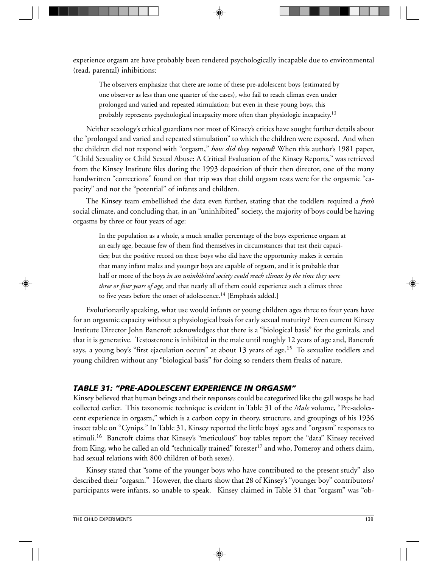experience orgasm are have probably been rendered psychologically incapable due to environmental (read, parental) inhibitions:

The observers emphasize that there are some of these pre-adolescent boys (estimated by one observer as less than one quarter of the cases), who fail to reach climax even under prolonged and varied and repeated stimulation; but even in these young boys, this probably represents psychological incapacity more often than physiologic incapacity.<sup>13</sup>

Neither sexology's ethical guardians nor most of Kinsey's critics have sought further details about the "prolonged and varied and repeated stimulation" to which the children were exposed. And when the children did not respond with "orgasm," *how did they respond*? When this author's 1981 paper, "Child Sexuality or Child Sexual Abuse: A Critical Evaluation of the Kinsey Reports," was retrieved from the Kinsey Institute files during the 1993 deposition of their then director, one of the many handwritten "corrections" found on that trip was that child orgasm tests were for the orgasmic "capacity" and not the "potential" of infants and children.

The Kinsey team embellished the data even further, stating that the toddlers required a *fresh* social climate, and concluding that, in an "uninhibited" society, the majority of boys could be having orgasms by three or four years of age:

In the population as a whole, a much smaller percentage of the boys experience orgasm at an early age, because few of them find themselves in circumstances that test their capacities; but the positive record on these boys who did have the opportunity makes it certain that many infant males and younger boys are capable of orgasm, and it is probable that half or more of the boys *in an uninhibited society could reach climax by the time they were three or four years of age,* and that nearly all of them could experience such a climax three to five years before the onset of adolescence.<sup>14</sup> [Emphasis added.]

Evolutionarily speaking, what use would infants or young children ages three to four years have for an orgasmic capacity without a physiological basis for early sexual maturity? Even current Kinsey Institute Director John Bancroft acknowledges that there is a "biological basis" for the genitals, and that it is generative. Testosterone is inhibited in the male until roughly 12 years of age and, Bancroft says, a young boy's "first ejaculation occurs" at about 13 years of age.<sup>15</sup> To sexualize toddlers and young children without any "biological basis" for doing so renders them freaks of nature.

# *TABLE 31: "PRE-ADOLESCENT EXPERIENCE IN ORGASM"*

Kinsey believed that human beings and their responses could be categorized like the gall wasps he had collected earlier. This taxonomic technique is evident in Table 31 of the *Male* volume, "Pre-adolescent experience in orgasm," which is a carbon copy in theory, structure, and groupings of his 1936 insect table on "Cynips." In Table 31, Kinsey reported the little boys' ages and "orgasm" responses to stimuli.<sup>16</sup> Bancroft claims that Kinsey's "meticulous" boy tables report the "data" Kinsey received from King, who he called an old "technically trained" forester<sup>17</sup> and who, Pomeroy and others claim, had sexual relations with 800 children of both sexes).

Kinsey stated that "some of the younger boys who have contributed to the present study" also described their "orgasm." However, the charts show that 28 of Kinsey's "younger boy" contributors/ participants were infants, so unable to speak. Kinsey claimed in Table 31 that "orgasm" was "ob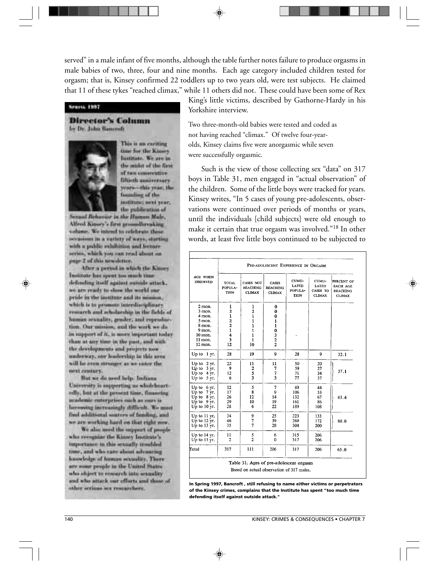served" in a male infant of five months, although the table further notes failure to produce orgasms in male babies of two, three, four and nine months. Each age category included children tested for orgasm; that is, Kinsey confirmed 22 toddlers up to two years old, were test subjects. He claimed that 11 of these tykes "reached climax," while 11 others did not. These could have been some of Rex

#### **SPRING 1997**

Director's Column by Dr. John Bancroft



This is an exciting time for the Kinsey Institute. We are inthe midst of the first of two consecutive **Griech anniversury** years-othis year, the funniting of the institute; next year. the publication of

Sexual Rehavior in the Humore Male, Alfred Kinsey's first groundbreaking volume. We intend to celebrate these occasions in a variety of ways, starting with a public exhibition and betureseries, which you can read about an page 2 of this newsletter.

After a period in which the Kmars Institute has spent too mach time defonding itself against outside attack, we are ready to show the world our pride in the institute and its mission, which is to promote interdisciplinary research and scholarship in the fields of human sexuality, gender, and reproduction. Our mission, and the work we do in support of it, is more important today than at any time in the past, and with the developments and projects now underway, our leadership in this area. will be even stronger as we enter the mest century.

Hut we do need help: Indiana University is supporting as wholehourtcdly, but at the present time, financing imademic enterprises such as ours is becoming increasingly difficult. We savet find additional sources of funding, and we are working hard we that right now.

We also used the support of people who recognize the Kinsey Institute's importance in this sexually troubled. time, and who care about advancing knowledge of human sexuality. There are some people in the United States. who object to research into sexuality and who attack our efforts and those of other scrious sex researchers.

King's little victims, described by Gathorne-Hardy in his Yorkshire interview.

Two three-month-old babies were tested and coded as not having reached "climax." Of twelve four-yearolds, Kinsey claims five were anorgasmic while seven were successfully orgasmic.

Such is the view of those collecting sex "data" on 317 boys in Table 31, men engaged in "actual observation" of the children. Some of the little boys were tracked for years. Kinsey writes, "In 5 cases of young pre-adolescents, observations were continued over periods of months or years, until the individuals [child subjects] were old enough to make it certain that true orgasm was involved."<sup>18</sup> In other words, at least five little boys continued to be subjected to

|                                                                                             |                                                                                              |                                                                    | PRE-ADOLESCENT EXPERIENCE IN ORGASM                               |                                   |                                             |                                                                   |
|---------------------------------------------------------------------------------------------|----------------------------------------------------------------------------------------------|--------------------------------------------------------------------|-------------------------------------------------------------------|-----------------------------------|---------------------------------------------|-------------------------------------------------------------------|
| <b>AGE WHEN</b><br><b>OBSERVED</b>                                                          | TOTAL<br>POPULA-<br><b>TION</b>                                                              | CASES NOT<br><b>REACHING</b><br><b>CLIMAX</b>                      | <b>CASES</b><br><b>REACHING</b><br><b>CLIMAX</b>                  | CUMU-<br>LATED<br>POPULA-<br>TION | CUMU-<br>LATED<br>CASES TO<br><b>CLIMAX</b> | PERCENT OF<br><b>EACH AGE</b><br><b>REACHING</b><br><b>CLIMAX</b> |
| 2 mon.<br>3 mon.<br>4 mon.<br>5 mon.<br>8 mon.<br>9 mon.<br>10 mon.<br>11 mon.<br>$12$ mon. | 1<br>$\overline{a}$<br>1<br>$\overline{a}$<br>$\overline{2}$<br>$\mathbf{1}$<br>4<br>3<br>12 | 1<br>$\overline{2}$<br>1<br>1<br>$\mathbf{1}$<br>1<br>1<br>1<br>10 | 0<br>0<br>0<br>$\mathbf{1}$<br>$\mathbf{1}$<br>0<br>$\frac{3}{2}$ |                                   |                                             |                                                                   |
| Up to 1 yr.                                                                                 | 28                                                                                           | 19                                                                 | 9                                                                 | 28                                | 9                                           | 32.1                                                              |
| Up to 2 yr.<br>Up to 3 yr.<br>Up to $4 \text{ yr}$ .<br>$Up$ to<br>5 уг.                    | 22<br>9<br>12<br>6                                                                           | 11<br>2<br>5<br>3                                                  | 11<br>7<br>7<br>3                                                 | 50<br>59<br>71<br>77              | 20<br>27<br>34<br>37                        | 57.1                                                              |
| Up to 6 yr.<br>Up to $7 \text{ yr}$ .<br>$Up$ to<br>8 yr.<br>Up to<br>9 уг.<br>Up to 10 yr. | 12<br>17<br>26<br>29<br>28                                                                   | 5<br>8<br>12<br>10<br>6                                            | 7<br>9<br>14<br>19<br>22                                          | 89<br>106<br>132<br>161<br>189    | 44<br>53<br>67<br>86<br>108                 | 63.4                                                              |
| Up to 11 yr.<br>Up to 12 yr.<br>Up to 13 yr.                                                | 34<br>46<br>35                                                                               | 9<br>7<br>7                                                        | 25<br>39<br>28                                                    | 223<br>269<br>304                 | 133<br>172<br>200                           | 80.0                                                              |
| Up to 14 yr.<br>Up to 15 yr.                                                                | 11<br>$\overline{2}$                                                                         | 5<br>$\overline{a}$                                                | 6<br>0                                                            | 315<br>317                        | 206<br>206                                  |                                                                   |
| Total                                                                                       | 317                                                                                          | 111                                                                | 206                                                               | 317                               | 206                                         | 65.0                                                              |

**In Spring 1997, Bancroft , still refusing to name either victims or perpetrators of the Kinsey crimes, complains that the Institute has spent "too much time defending itself against outside attack."**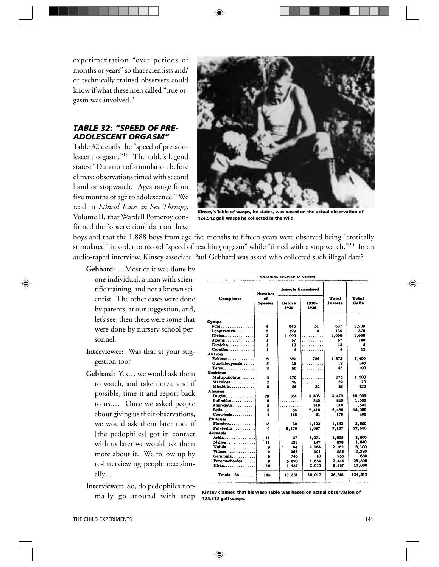experimentation "over periods of months or years" so that scientists and/ or technically trained observers could know if what these men called "true orgasm was involved."

#### *TABLE 32: "SPEED OF PRE-ADOLESCENT ORGASM"*

Table 32 details the "speed of pre-adolescent orgasm."19 The table's legend states: "Duration of stimulation before climax: observations timed with second hand or stopwatch. Ages range from five months of age to adolescence." We read in *Ethical Issues in Sex Therapy*, Volume II, that Wardell Pomeroy confirmed the "observation" data on these



Kinsey's Table of wasps, he states, was based on the actual observation **124,512 gall wasps he collected in the wild.**

.<br>Material Atunien in Cynt

boys and that the 1,888 boys from age five months to fifteen years were observed being "erotically stimulated" in order to record "speed of reaching orgasm" while "timed with a stop watch."20 In an audio-taped interview, Kinsey associate Paul Gebhard was asked who collected such illegal data?

- **Gebhard:** …Most of it was done by one individual, a man with scientific training, and not a known scientist. The other cases were done by parents, at our suggestion, and, let's see, then there were some that were done by nursery school personnel.
- **Interviewer:** Was that at your suggestion too?
- **Gebhard:** Yes… we would ask them to watch, and take notes, and if possible, time it and report back to us.… Once we asked people about giving us their observations, we would ask them later too. if [the pedophiles] got in contact with us later we would ask them more about it. We follow up by re-interviewing people occasionally…
- **Interviewer:** So, do pedophiles normally go around with stop

|                              | Number               | <b>Insects Examined</b> |               |                  |                |
|------------------------------|----------------------|-------------------------|---------------|------------------|----------------|
| <b>Complexes</b>             | of<br><b>Species</b> | <b>Before</b><br>1930   | 1930-<br>1936 | Total<br>Insects | Total<br>Galls |
| Cynipe                       |                      |                         |               |                  |                |
| Folii                        | 4                    | 646                     | 51            | 697              | 1.200          |
| Longiventris                 | 2                    | 129                     | 8             | 135              | 370            |
| Divisa, , , ,                | $\overline{2}$       | 1.090                   |               | 1.090            | 1.090          |
| Agams                        | 1                    | 57                      | .             | 57               | 180            |
| Disticha.                    | 1                    | 13                      |               | 13               | 5              |
| Cornifex                     | 1                    | 4                       |               | 4                | 12             |
| Antron                       |                      |                         |               |                  |                |
| $Echinus, \ldots, \ldots$    | 6                    | 589                     | 786           | 1.375            | 7.400          |
| Guadaloupensis               | 3                    | 18                      |               | 18               | 140            |
| $Teres \ldots \ldots \ldots$ | 2                    | 55                      |               | KK.              | 190            |
| Besbicus                     |                      |                         |               |                  |                |
| Multipunctata                | 4                    | 175                     |               | 175              | 1,200          |
| $Maculosa$                   | 2                    | 29                      |               | 29               | 70             |
| Mirabilis                    | 2                    | 26                      | 22            | 58               | 420            |
| Atrusca                      |                      |                         |               |                  |                |
| Dugềsi                       | 29                   | 164                     | 3.306         | 3.470            | 18.000         |
| Bulboides                    | Б                    |                         | 840           | 840              | 1.500          |
| Aggregata                    | 5                    | .                       | 318           | 318              | 1,500          |
| Bella.                       | 6                    | 56                      | 2.410         | 2.466            | 15.000         |
| $Centricola$                 | 4                    | 118                     | 61            | 179              | 408            |
| Philoniz                     |                      |                         |               |                  |                |
| Plumbea                      | 13                   | 30                      | 1.122         | 1.152            | 3.300          |
| Fulvicollis                  | Ω                    | 5.170                   | 1.987         | 7,157            | 22,550         |
| Acrasois                     |                      |                         |               |                  |                |
| Arida                        | 11                   | 27                      | 1.071         | 1.098            | 3.800          |
| Melles.                      | 11                   | 431                     | 147           | 578              | 1,640          |
| Nubila                       | 9                    | 64                      | 2,088         | 2.152            | 6.100          |
| Villosa                      | 9                    | 287                     | 191           | 558              | 2.280          |
| Gemmula                      | ĸ                    | 746                     | 10            | 756              | 660            |
| Pezomachoides                | 9                    | 5.890                   | 1,554         | 7.444            | 23,500         |
| Hirta                        | 10                   | 1,457                   | 2,030         | 3,487            | 12,000         |
| Totals $26. \ldots$          | 165                  | 17,351                  | 18.010        | 35.361           | 124,512        |

**Kinsey claimed that his wasp Table was based on actual observation of 124,512 gall wasps.**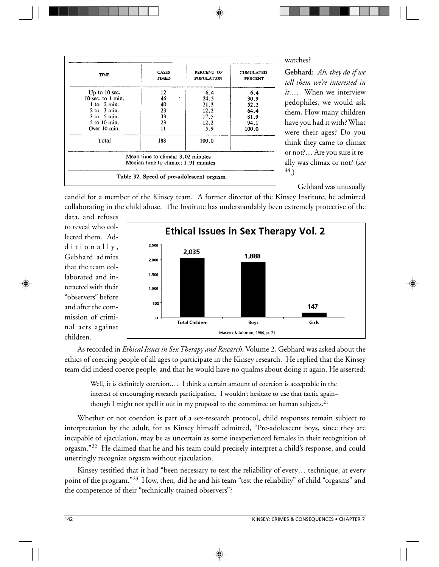| <b>TIME</b>                           | <b>CASES</b><br><b>TIMED</b>                                             | PERCENT OF<br><b>POPULATION</b> | <b>CUMULATED</b><br><b>PERCENT</b> |
|---------------------------------------|--------------------------------------------------------------------------|---------------------------------|------------------------------------|
| Up to $10$ sec.                       | 12                                                                       | 6.4                             | 6.4                                |
| $10 \text{ sec.}$ to $1 \text{ min.}$ | 46                                                                       | 24.5                            | 30.9                               |
| 1 to $2 \text{ min.}$                 | 40                                                                       | 21.3                            | 52.2                               |
| $2$ to $3$ min.                       | 23                                                                       | 12.2                            | 64.4                               |
| $3$ to $5$ min.                       | 33                                                                       | 17.5                            | 81.9                               |
| 5 to 10 min.                          | 23                                                                       | 12.2                            | 94.1                               |
| Over 10 min.                          | 11                                                                       | 5.9                             | 100.0                              |
| Total                                 | 188                                                                      | 100.0                           |                                    |
|                                       | Mean time to climax: 3.02 minutes<br>Median time to climax; 1.91 minutes |                                 |                                    |

#### watches?

**Gebhard:** *Ah, they do if we tell them we're interested in it*.… When we interview pedophiles, we would ask them, How many children have you had it with? What were their ages? Do you think they came to climax or not?… Are you sure it really was climax or not? (*see* 44.)

Gebhard was unusually

candid for a member of the Kinsey team. A former director of the Kinsey Institute, he admitted collaborating in the child abuse. The Institute has understandably been extremely protective of the data, and refuses

to reveal who collected them. Additionally, Gebhard admits that the team collaborated and interacted with their "observers" before and after the commission of criminal acts against children.



As recorded in *Ethical Issues in Sex Therapy and Research,* Volume 2, Gebhard was asked about the ethics of coercing people of all ages to participate in the Kinsey research. He replied that the Kinsey team did indeed coerce people, and that he would have no qualms about doing it again. He asserted:

Well, it is definitely coercion.… I think a certain amount of coercion is acceptable in the interest of encouraging research participation. I wouldn't hesitate to use that tactic again– though I might not spell it out in my proposal to the committee on human subjects.<sup>21</sup>

Whether or not coercion is part of a sex-research protocol, child responses remain subject to interpretation by the adult, for as Kinsey himself admitted, "Pre-adolescent boys, since they are incapable of ejaculation, may be as uncertain as some inexperienced females in their recognition of orgasm."<sup>22</sup> He claimed that he and his team could precisely interpret a child's response, and could unerringly recognize orgasm without ejaculation.

Kinsey testified that it had "been necessary to test the reliability of every… technique, at every point of the program."23 How, then, did he and his team "test the reliability" of child "orgasms" and the competence of their "technically trained observers"?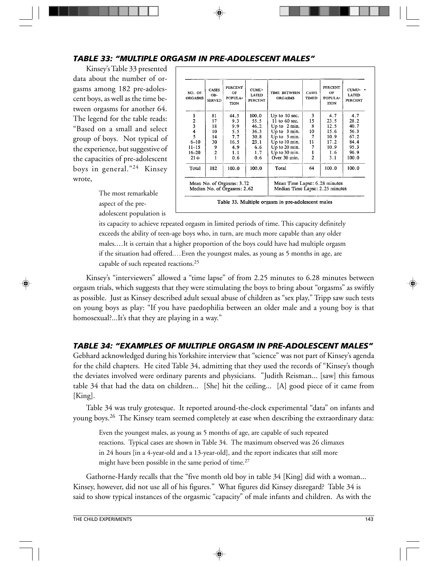# *TABLE 33: "MULTIPLE ORGASM IN PRE-ADOLESCENT MALES"*

Kinsey's Table 33 presented data about the number of orgasms among 182 pre-adolescent boys, as well as the time between orgasms for another 64. The legend for the table reads: "Based on a small and select group of boys. Not typical of the experience, but suggestive of the capacities of pre-adolescent boys in general."24 Kinsey wrote,

| NO. OF.<br><b>ORGASMS</b> | <b>CASES</b><br>OB-<br><b>SERVED</b> | <b>PERCENT</b><br>OF<br>POPULA-<br><b>TION</b>           | CUMU-<br><b>LATED</b><br>PERCENT | TIME BETWEEN<br><b>ORGASMS</b>                                   | CASES<br><b>TIMED</b> | PERCENT<br>OF<br>POPULA-<br>TION | CUMU- ·<br><b>LATED</b><br><b>PERCENT</b> |
|---------------------------|--------------------------------------|----------------------------------------------------------|----------------------------------|------------------------------------------------------------------|-----------------------|----------------------------------|-------------------------------------------|
|                           | 81                                   | 44.5                                                     | 100.0                            | Up to 10 sec.                                                    | 3                     | 4.7                              | 4.7                                       |
|                           | 17                                   | 9.3                                                      | 55.5                             | 11 to $60$ sec.                                                  | 15                    | 23.5                             | 28.2                                      |
| $\frac{2}{3}$             | 18                                   | 9.9                                                      | 46.2                             | Up to 2 min.                                                     | 8                     | 12.5                             | 40.7                                      |
| $\frac{4}{5}$             | 10                                   | 5.5                                                      | 36.3                             | Up to $3$ min.                                                   | 10                    | 15.6                             | 56.3                                      |
|                           | 14                                   | 7.7                                                      | 30.8                             | Up to $5 \text{ min}$ .                                          | $\overline{7}$        | 10.9                             | 67.2                                      |
| $6 - 10$                  | 30                                   | 16.5                                                     | 23.1                             | Up to 10 min.                                                    | 11                    | 17.2                             | 84.4                                      |
| $11 - 15$                 | 9                                    | 4.9                                                      | 6.6                              | Up to $20 \text{ min}$ .                                         |                       | 10.9                             | 95.3                                      |
| $16 - 20$                 | $\frac{2}{1}$                        | 1.1                                                      | 1.7                              | Up to 30 min.                                                    |                       | 1.6                              | 96.9                                      |
| $21 +$                    |                                      | 0.6                                                      | 0.6                              | Over 30 min.                                                     | $\overline{2}$        | 3.1                              | 100.0                                     |
| Total                     | 182                                  | 100.0                                                    | 100.0                            | Total                                                            | 64                    | 100.0                            | 100.0                                     |
|                           |                                      | Mean No. of Orgasms: 3.72<br>Median No. of Orgasms: 2.62 |                                  | Mean Time Lapse: 6.28 minutes<br>Median Time Lapse: 2.25 minutes |                       |                                  |                                           |

The most remarkable aspect of the preadolescent population is

Table 33. Multiple orgasm in pre-adolescent males

its capacity to achieve repeated orgasm in limited periods of time. This capacity definitely exceeds the ability of teen-age boys who, in turn, are much more capable than any older males.…It is certain that a higher proportion of the boys could have had multiple orgasm if the situation had offered*.…*Even the youngest males, as young as 5 months in age, are capable of such repeated reactions.25

Kinsey's "interviewers" allowed a "time lapse" of from 2.25 minutes to 6.28 minutes between orgasm trials, which suggests that they were stimulating the boys to bring about "orgasms" as swiftly as possible. Just as Kinsey described adult sexual abuse of children as "sex play," Tripp saw such tests on young boys as play: "If you have paedophilia between an older male and a young boy is that homosexual?...It's that they are playing in a way."

# *TABLE 34: "EXAMPLES OF MULTIPLE ORGASM IN PRE-ADOLESCENT MALES"*

Gebhard acknowledged during his Yorkshire interview that "science" was not part of Kinsey's agenda for the child chapters. He cited Table 34, admitting that they used the records of "Kinsey's though the deviates involved were ordinary parents and physicians. "Judith Reisman... [saw] this famous table 34 that had the data on children... [She] hit the ceiling... [A] good piece of it came from [King].

Table 34 was truly grotesque. It reported around-the-clock experimental "data" on infants and young boys.<sup>26</sup> The Kinsey team seemed completely at ease when describing the extraordinary data:

Even the youngest males, as young as 5 months of age, are capable of such repeated reactions. Typical cases are shown in Table 34. The maximum observed was 26 climaxes in 24 hours [in a 4-year-old and a 13-year-old], and the report indicates that still more might have been possible in the same period of time.<sup>27</sup>

Gathorne-Hardy recalls that the "five month old boy in table 34 [King] did with a woman... Kinsey, however, did not use all of his figures." What figures did Kinsey disregard? Table 34 is said to show typical instances of the orgasmic "capacity" of male infants and children. As with the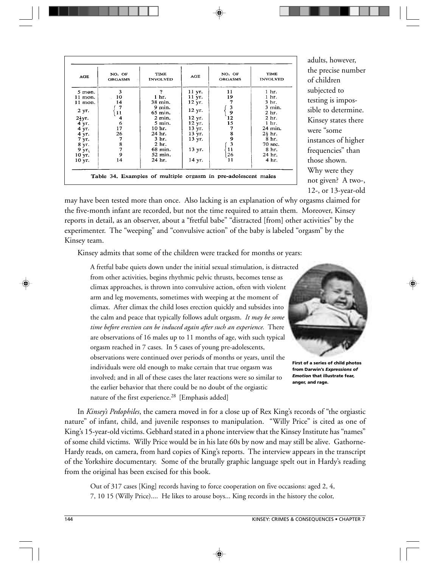| <b>AGE</b>         | NO. OF<br><b>ORGASMS</b> | TIME<br><b>INVOLVED</b>                                       | <b>AGE</b> | NO. OF<br><b>ORGASMS</b> | TIME<br><b>INVOLVED</b> |
|--------------------|--------------------------|---------------------------------------------------------------|------------|--------------------------|-------------------------|
| $5$ mon.           | 3                        | ?                                                             | 11 yr.     | 11                       | 1 hr.                   |
| 11 mon.            | 10                       | 1 hr.                                                         | 11 yr.     | 19                       | 1 hr.                   |
| $11$ mon.          | 14                       | 38 min.                                                       | 12 yr.     | 7                        | 3 hr.                   |
|                    |                          | 9 min.                                                        |            |                          | $3$ min.                |
| 2 уг.              | 11                       | 65 min.                                                       | 12 yr.     | $\frac{3}{9}$            | 2 hr.                   |
| $2\frac{1}{2}$ yr. |                          | $2$ min.                                                      | 12 yr.     | 12                       | 2 hr.                   |
| 4 yr.              | 6                        | 5 min.                                                        | 12 yr.     | 15                       | 1 <sub>hr</sub>         |
| 4 yr.              | 17                       | 10 <sub>hr.</sub>                                             | 13 yr.     | 7                        | 24 min.                 |
| 4 yr.              | 26                       | 24 hr.                                                        | 13 yr.     |                          | $2\frac{1}{2}$ hr.      |
| 7 yr.              | 7                        | 3 <sub>hr.</sub>                                              | 13 yr.     | 8<br>9                   | 8 hr.                   |
| 8 уг.              | 8                        | 2 hr.                                                         |            | 3                        | 70 sec.                 |
| 9 yr.              | 7                        | 68 min.                                                       | 13 yr.     | 11                       | 8 hr.                   |
| 10 yr.             | 9                        | 52 min.                                                       |            | 26                       | 24 hr.                  |
| 10 уг.             | 14                       | 24 hr.                                                        | 14 yr.     | 11                       | 4 hr.                   |
|                    |                          | Table 34. Examples of multiple orgasm in pre-adolescent males |            |                          |                         |

adults, however, the precise number of children subjected to testing is impossible to determine. Kinsey states there were "some instances of higher frequencies" than those shown. Why were they not given? A two-, 12-, or 13-year-old

may have been tested more than once. Also lacking is an explanation of why orgasms claimed for the five-month infant are recorded, but not the time required to attain them. Moreover, Kinsey reports in detail, as an observer, about a "fretful babe" "distracted [from] other activities" by the experimenter. The "weeping" and "convulsive action" of the baby is labeled "orgasm" by the Kinsey team.

Kinsey admits that some of the children were tracked for months or years:

A fretful babe quiets down under the initial sexual stimulation, is distracted from other activities, begins rhythmic pelvic thrusts, becomes tense as climax approaches, is thrown into convulsive action, often with violent arm and leg movements, sometimes with weeping at the moment of climax. After climax the child loses erection quickly and subsides into the calm and peace that typically follows adult orgasm. *It may be some time before erection can be induced again after such an experience.* There are observations of 16 males up to 11 months of age, with such typical orgasm reached in 7 cases. In 5 cases of young pre-adolescents, observations were continued over periods of months or years, until the individuals were old enough to make certain that true orgasm was involved; and in all of these cases the later reactions were so similar to the earlier behavior that there could be no doubt of the orgiastic nature of the first experience.<sup>28</sup> [Emphasis added]



**First of a series of child photos from Darwin's** *Expressions of Emotion* **that illustrate fear, anger, and rage.**

In *Kinsey's Pedophiles*, the camera moved in for a close up of Rex King's records of "the orgiastic nature" of infant, child, and juvenile responses to manipulation. "Willy Price" is cited as one of King's 15-year-old victims. Gebhard stated in a phone interview that the Kinsey Institute has "names" of some child victims. Willy Price would be in his late 60s by now and may still be alive. Gathorne-Hardy reads, on camera, from hard copies of King's reports. The interview appears in the transcript of the Yorkshire documentary. Some of the brutally graphic language spelt out in Hardy's reading from the original has been excised for this book.

Out of 317 cases [King] records having to force cooperation on five occasions: aged 2, 4, 7, 10 15 (Willy Price).... He likes to arouse boys... King records in the history the color,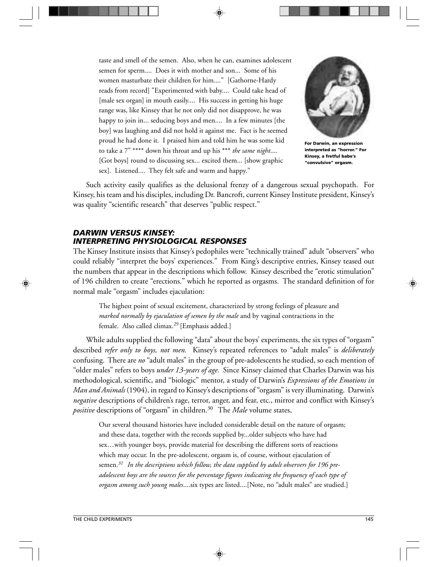taste and smell of the semen. Also, when he can, examines adolescent semen for sperm.... Does it with mother and son... Some of his women masturbate their children for him...." [Gathorne-Hardy reads from record] "Experimented with baby.... Could take head of [male sex organ] in mouth easily.... His success in getting his huge range was, like Kinsey that he not only did not disapprove, he was happy to join in... seducing boys and men.... In a few minutes [the boy] was laughing and did not hold it against me. Fact is he seemed proud he had done it. I praised him and told him he was some kid to take a 7" \*\*\*\* down his throat and up his \*\*\* *the same night*.... [Got boys] round to discussing sex... excited them... [show graphic sex]. Listened.... They felt safe and warm and happy."



**For Darwin, an expression interpreted as "horror." For Kinsey, a fretful babe's "convulsive" orgasm.**

Such activity easily qualifies as the delusional frenzy of a dangerous sexual psychopath. For Kinsey, his team and his disciples, including Dr. Bancroft, current Kinsey Institute president, Kinsey's was quality "scientific research" that deserves "public respect."

#### *DARWIN VERSUS KINSEY: INTERPRETING PHYSIOLOGICAL RESPONSES*

The Kinsey Institute insists that Kinsey's pedophiles were "technically trained" adult "observers" who could reliably "interpret the boys' experiences." From King's descriptive entries, Kinsey teased out the numbers that appear in the descriptions which follow. Kinsey described the "erotic stimulation" of 196 children to create "erections." which he reported as orgasms. The standard definition of for normal male "orgasm" includes ejaculation:

The highest point of sexual excitement, characterized by strong feelings of pleasure and *marked normally by ejaculation of semen by the male* and by vaginal contractions in the female. Also called climax.<sup>29</sup> [Emphasis added.]

While adults supplied the following "data" about the boys' experiments, the six types of "orgasm" described *refer only to boys, not men.* Kinsey's repeated references to "adult males" is *deliberately* confusing. There are *no* "adult males" in the group of pre-adolescents he studied, so each mention of "older males" refers to boys *under 13-years of age.* Since Kinsey claimed that Charles Darwin was his methodological, scientific, and "biologic" mentor, a study of Darwin's *Expressions of the Emotions in Man and Animals* (1904), in regard to Kinsey's descriptions of "orgasm" is very illuminating. Darwin's *negative* descriptions of children's rage, terror, anger, and fear, etc., mirror and conflict with Kinsey's *positive* descriptions of "orgasm" in children.<sup>30</sup> The *Male* volume states,

Our several thousand histories have included considerable detail on the nature of orgasm; and these data, together with the records supplied by...older subjects who have had sex…with younger boys, provide material for describing the different sorts of reactions which may occur. In the pre-adolescent, orgasm is, of course, without ejaculation of semen.*31 In the descriptions which follow, the data supplied by adult observers for 196 preadolescent boys are the sources for the percentage figures indicating the frequency of each type of orgasm among such young males*....six types are listed....[Note, no "adult males" are studied.]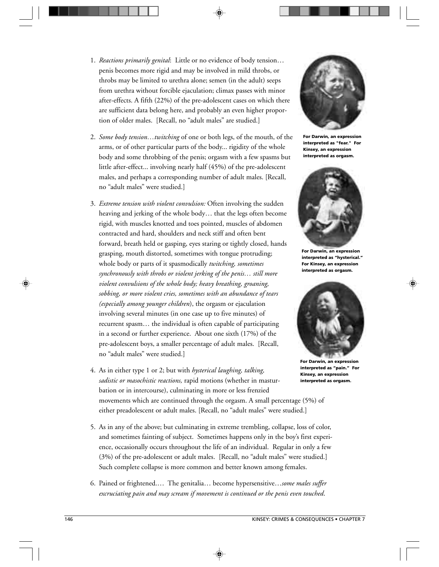- 1. *Reactions primarily genital*: Little or no evidence of body tension… penis becomes more rigid and may be involved in mild throbs, or throbs may be limited to urethra alone; semen (in the adult) seeps from urethra without forcible ejaculation; climax passes with minor after-effects. A fifth (22%) of the pre-adolescent cases on which there are sufficient data belong here, and probably an even higher proportion of older males. [Recall, no "adult males" are studied.]
- 2. *Some body tension…twitching* of one or both legs, of the mouth, of the arms, or of other particular parts of the body... rigidity of the whole body and some throbbing of the penis; orgasm with a few spasms but little after-effect... involving nearly half (45%) of the pre-adolescent males, and perhaps a corresponding number of adult males. [Recall, no "adult males" were studied.]
- 3. *Extreme tension with violent convulsion:* Often involving the sudden heaving and jerking of the whole body… that the legs often become rigid, with muscles knotted and toes pointed, muscles of abdomen contracted and hard, shoulders and neck stiff and often bent forward, breath held or gasping, eyes staring or tightly closed, hands grasping, mouth distorted, sometimes with tongue protruding; whole body or parts of it spasmodically *twitching, sometimes synchronously with throbs or violent jerking of the penis… still more violent convulsions of the whole body; heavy breathing, groaning, sobbing, or more violent cries, sometimes with an abundance of tears (especially among younger children*), the orgasm or ejaculation involving several minutes (in one case up to five minutes) of recurrent spasm… the individual is often capable of participating in a second or further experience. About one sixth (17%) of the pre-adolescent boys, a smaller percentage of adult males. [Recall, no "adult males" were studied.]
- 4. As in either type 1 or 2; but with *hysterical laughing, talking, sadistic or masochistic reactions,* rapid motions (whether in masturbation or in intercourse), culminating in more or less frenzied movements which are continued through the orgasm. A small percentage (5%) of either preadolescent or adult males. [Recall, no "adult males" were studied.]
- 5. As in any of the above; but culminating in extreme trembling, collapse, loss of color, and sometimes fainting of subject. Sometimes happens only in the boy's first experience, occasionally occurs throughout the life of an individual. Regular in only a few (3%) of the pre-adolescent or adult males. [Recall, no "adult males" were studied.] Such complete collapse is more common and better known among females.
- 6. Pained or frightened.… The genitalia… become hypersensitive…*some males suffer excruciating pain and may scream if movement is continued or the penis even touched*.



**For Darwin, an expression interpreted as "fear." For Kinsey, an expression interpreted as orgasm.**



**For Darwin, an expression interpreted as "hysterical." For Kinsey, an expression interpreted as orgasm.**



**For Darwin, an expression interpreted as "pain." For Kinsey, an expression interpreted as orgasm.**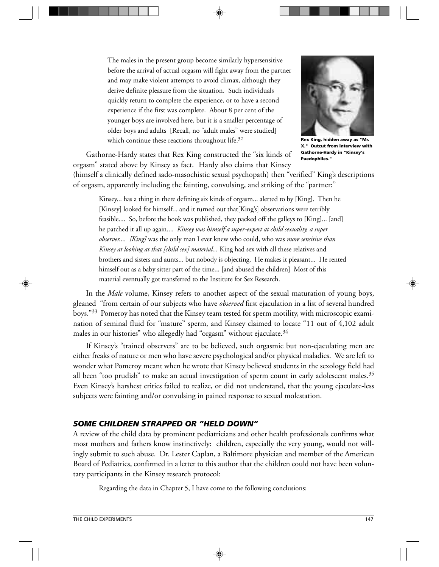The males in the present group become similarly hypersensitive before the arrival of actual orgasm will fight away from the partner and may make violent attempts to avoid climax, although they derive definite pleasure from the situation. Such individuals quickly return to complete the experience, or to have a second experience if the first was complete. About 8 per cent of the younger boys are involved here, but it is a smaller percentage of older boys and adults [Recall, no "adult males" were studied] which continue these reactions throughout life.<sup>32</sup>



**Rex King, hidden away as "Mr. X." Outcut from interview with Gathorne-Hardy in "Kinsey's Paedophiles."**

Gathorne-Hardy states that Rex King constructed the "six kinds of orgasm" stated above by Kinsey as fact. Hardy also claims that Kinsey

(himself a clinically defined sado-masochistic sexual psychopath) then "verified" King's descriptions of orgasm, apparently including the fainting, convulsing, and striking of the "partner:"

Kinsey... has a thing in there defining six kinds of orgasm... alerted to by [King]. Then he [Kinsey] looked for himself... and it turned out that[King's] observations were terribly feasible.... So, before the book was published, they packed off the galleys to [King]... [and] he patched it all up again.... *Kinsey was himself a super-expert at child sexuality, a super observer.... [King]* was the only man I ever knew who could, who was *more sensitive than Kinsey at looking at that [child sex] material...* King had sex with all these relatives and brothers and sisters and aunts... but nobody is objecting. He makes it pleasant... He rented himself out as a baby sitter part of the time**...** [and abused the children] Most of this material eventually got transferred to the Institute for Sex Research.

In the *Male* volume, Kinsey refers to another aspect of the sexual maturation of young boys, gleaned "from certain of our subjects who have *observed* first ejaculation in a list of several hundred boys."<sup>33</sup> Pomeroy has noted that the Kinsey team tested for sperm motility, with microscopic examination of seminal fluid for "mature" sperm, and Kinsey claimed to locate "11 out of 4,102 adult males in our histories" who allegedly had "orgasm" without ejaculate. $34$ 

If Kinsey's "trained observers" are to be believed, such orgasmic but non-ejaculating men are either freaks of nature or men who have severe psychological and/or physical maladies. We are left to wonder what Pomeroy meant when he wrote that Kinsey believed students in the sexology field had all been "too prudish" to make an actual investigation of sperm count in early adolescent males. $35$ Even Kinsey's harshest critics failed to realize, or did not understand, that the young ejaculate-less subjects were fainting and/or convulsing in pained response to sexual molestation.

#### *SOME CHILDREN STRAPPED OR "HELD DOWN"*

A review of the child data by prominent pediatricians and other health professionals confirms what most mothers and fathers know instinctively: children, especially the very young, would not willingly submit to such abuse. Dr. Lester Caplan, a Baltimore physician and member of the American Board of Pediatrics, confirmed in a letter to this author that the children could not have been voluntary participants in the Kinsey research protocol:

Regarding the data in Chapter 5, I have come to the following conclusions: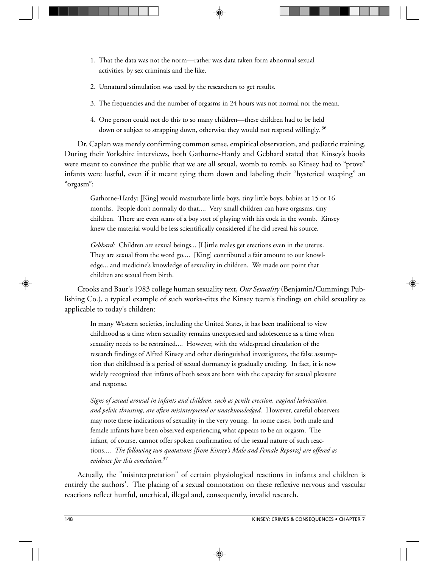- 1. That the data was not the norm—rather was data taken form abnormal sexual activities, by sex criminals and the like.
- 2. Unnatural stimulation was used by the researchers to get results.
- 3. The frequencies and the number of orgasms in 24 hours was not normal nor the mean.
- 4. One person could not do this to so many children—these children had to be held down or subject to strapping down, otherwise they would not respond willingly.<sup>36</sup>

Dr. Caplan was merely confirming common sense, empirical observation, and pediatric training. During their Yorkshire interviews, both Gathorne-Hardy and Gebhard stated that Kinsey's books were meant to convince the public that we are all sexual, womb to tomb, so Kinsey had to "prove" infants were lustful, even if it meant tying them down and labeling their "hysterical weeping" an "orgasm":

Gathorne-Hardy: [King] would masturbate little boys, tiny little boys, babies at 15 or 16 months. People don't normally do that.... Very small children can have orgasms, tiny children. There are even scans of a boy sort of playing with his cock in the womb. Kinsey knew the material would be less scientifically considered if he did reveal his source.

*Gebhard:* Children are sexual beings... [L]ittle males get erections even in the uterus. They are sexual from the word go.... [King] contributed a fair amount to our knowledge... and medicine's knowledge of sexuality in children. We made our point that children are sexual from birth.

Crooks and Baur's 1983 college human sexuality text, *Our Sexuality* (Benjamin/Cummings Publishing Co.), a typical example of such works-cites the Kinsey team's findings on child sexuality as applicable to today's children:

In many Western societies, including the United States, it has been traditional to view childhood as a time when sexuality remains unexpressed and adolescence as a time when sexuality needs to be restrained.... However, with the widespread circulation of the research findings of Alfred Kinsey and other distinguished investigators, the false assumption that childhood is a period of sexual dormancy is gradually eroding. In fact, it is now widely recognized that infants of both sexes are born with the capacity for sexual pleasure and response.

*Signs of sexual arousal in infants and children, such as penile erection, vaginal lubrication, and pelvic thrusting, are often misinterpreted or unacknowledged.* However, careful observers may note these indications of sexuality in the very young. In some cases, both male and female infants have been observed experiencing what appears to be an orgasm. The infant, of course, cannot offer spoken confirmation of the sexual nature of such reactions.... *The following two quotations [from Kinsey's Male and Female Reports] are offered as evidence for this conclusion*. 37

Actually, the "misinterpretation" of certain physiological reactions in infants and children is entirely the authors'. The placing of a sexual connotation on these reflexive nervous and vascular reactions reflect hurtful, unethical, illegal and, consequently, invalid research.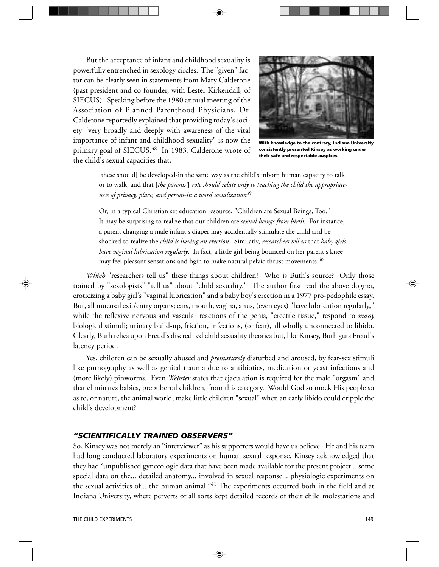But the acceptance of infant and childhood sexuality is powerfully entrenched in sexology circles. The "given" factor can be clearly seen in statements from Mary Calderone (past president and co-founder, with Lester Kirkendall, of SIECUS). Speaking before the 1980 annual meeting of the Association of Planned Parenthood Physicians, Dr. Calderone reportedly explained that providing today's society "very broadly and deeply with awareness of the vital importance of infant and childhood sexuality" is now the primary goal of SIECUS.<sup>38</sup> In 1983, Calderone wrote of the child's sexual capacities that,



**With knowledge to the contrary, Indiana University consistently presented Kinsey as working under their safe and respectable auspices.**

[these should] be developed-in the same way as the child's inborn human capacity to talk or to walk, and that [*the parents'*] *role should relate only to teaching the child the appropriateness of privacy, place, and person-in a word socialization*<sup>39</sup>

Or, in a typical Christian set education resource, "Children are Sexual Beings, Too." It may be surprising to realize that our children are *sexual beings from birth*. For instance, a parent changing a male infant's diaper may accidentally stimulate the child and be shocked to realize the *child is having an erection*. Similarly, *researchers tell us* that *baby girls have vaginal lubrication regularly*. In fact, a little girl being bounced on her parent's knee may feel pleasant sensations and bgin to make natural pelvic thrust movements.<sup>40</sup>

*Which* "researchers tell us" these things about children? Who is Buth's source? Only those trained by "sexologists" "tell us" about "child sexuality." The author first read the above dogma, eroticizing a baby girl's "vaginal lubrication" and a baby boy's erection in a 1977 pro-pedophile essay. But, all mucosal exit/entry organs; ears, mouth, vagina, anus, (even eyes) "have lubrication regularly," while the reflexive nervous and vascular reactions of the penis, "erectile tissue," respond to *many* biological stimuli; urinary build-up, friction, infections, (or fear), all wholly unconnected to libido. Clearly, Buth relies upon Freud's discredited child sexuality theories but, like Kinsey, Buth guts Freud's latency period.

Yes, children can be sexually abused and *prematurely* disturbed and aroused, by fear-sex stimuli like pornography as well as genital trauma due to antibiotics, medication or yeast infections and (more likely) pinworms. Even *Webster* states that ejaculation is required for the male "orgasm" and that eliminates babies, prepubertal children, from this category. Would God so mock His people so as to, or nature, the animal world, make little children "sexual" when an early libido could cripple the child's development?

#### *"SCIENTIFICALLY TRAINED OBSERVERS"*

So, Kinsey was not merely an "interviewer" as his supporters would have us believe. He and his team had long conducted laboratory experiments on human sexual response. Kinsey acknowledged that they had "unpublished gynecologic data that have been made available for the present project... some special data on the... detailed anatomy... involved in sexual response... physiologic experiments on the sexual activities of... the human animal."<sup>41</sup> The experiments occurred both in the field and at Indiana University, where perverts of all sorts kept detailed records of their child molestations and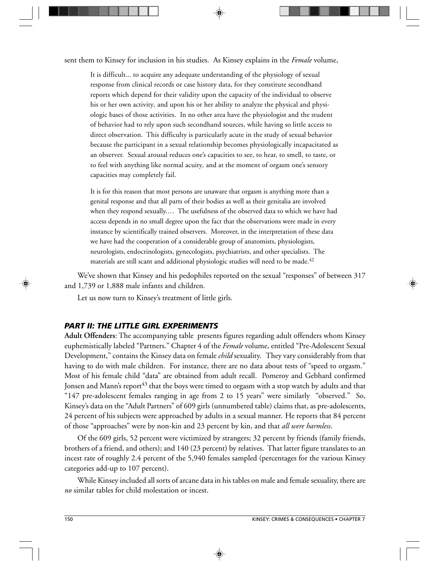sent them to Kinsey for inclusion in his studies. As Kinsey explains in the *Female* volume,

It is difficult... to acquire any adequate understanding of the physiology of sexual response from clinical records or case history data, for they constitute secondhand reports which depend for their validity upon the capacity of the individual to observe his or her own activity*,* and upon his or her ability to analyze the physical and physiologic bases of those activities. In no other area have the physiologist and the student of behavior had to rely upon such secondhand sources, while having so little access to direct observation. This difficulty is particularly acute in the study of sexual behavior because the participant in a sexual relationship becomes physiologically incapacitated as an observer. Sexual arousal reduces one's capacities to see, to hear, to smell, to taste, or to feel with anything like normal acuity*,* and at the moment of orgasm one's sensory capacities may completely fail.

It is for this reason that most persons are unaware that orgasm is anything more than a genital response and that all parts of their bodies as well as their genitalia are involved when they respond sexually.… The usefulness of the observed data to which we have had access depends in no small degree upon the fact that the observations were made in every instance by scientifically trained observers*.* Moreover, in the interpretation of these data we have had the cooperation of a considerable group of anatomists, physiologists, neurologists, endocrinologists, gynecologists, psychiatrists, and other specialists. The materials are still scant and additional physiologic studies will need to be made.<sup>42</sup>

We've shown that Kinsey and his pedophiles reported on the sexual "responses" of between 317 and 1,739 or 1,888 male infants and children.

Let us now turn to Kinsey's treatment of little girls.

# *PART II: THE LITTLE GIRL EXPERIMENTS*

**Adult Offenders**: The accompanying table presents figures regarding adult offenders whom Kinsey euphemistically labeled "Partners." Chapter 4 of the *Female* volume, entitled "Pre-Adolescent Sexual Development," contains the Kinsey data on female *child* sexuality. They vary considerably from that having to do with male children. For instance, there are no data about tests of "speed to orgasm." Most of his female child "data" are obtained from adult recall. Pomeroy and Gebhard confirmed Jonsen and Mann's report<sup>43</sup> that the boys were timed to orgasm with a stop watch by adults and that "147 pre-adolescent females ranging in age from 2 to 15 years" were similarly "observed." So, Kinsey's data on the "Adult Partners" of 609 girls (unnumbered table) claims that, as pre-adolescents, 24 percent of his subjects were approached by adults in a sexual manner. He reports that 84 percent of those "approaches" were by non-kin and 23 percent by kin, and that *all were harmless*.

Of the 609 girls, 52 percent were victimized by strangers; 32 percent by friends (family friends, brothers of a friend, and others); and 140 (23 percent) by relatives. That latter figure translates to an incest rate of roughly 2.4 percent of the 5,940 females sampled (percentages for the various Kinsey categories add-up to 107 percent).

While Kinsey included all sorts of arcane data in his tables on male and female sexuality, there are *no* similar tables for child molestation or incest.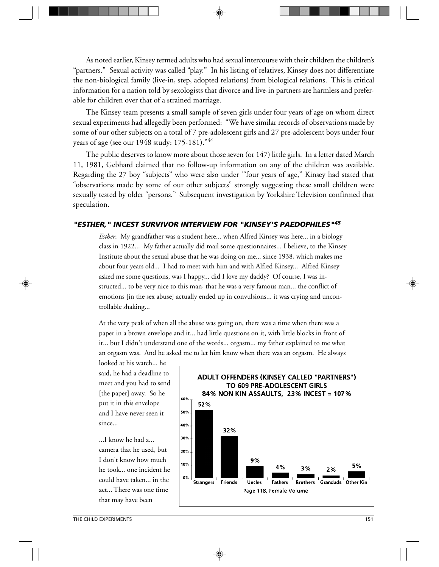As noted earlier, Kinsey termed adults who had sexual intercourse with their children the children's "partners." Sexual activity was called "play." In his listing of relatives, Kinsey does not differentiate the non-biological family (live-in, step, adopted relations) from biological relations. This is critical information for a nation told by sexologists that divorce and live-in partners are harmless and preferable for children over that of a strained marriage.

The Kinsey team presents a small sample of seven girls under four years of age on whom direct sexual experiments had allegedly been performed: "We have similar records of observations made by some of our other subjects on a total of 7 pre-adolescent girls and 27 pre-adolescent boys under four years of age (see our 1948 study: 175-181)."44

The public deserves to know more about those seven (or 147) little girls. In a letter dated March 11, 1981, Gebhard claimed that no follow-up information on any of the children was available. Regarding the 27 boy "subjects" who were also under '"four years of age," Kinsey had stated that "observations made by some of our other subjects" strongly suggesting these small children were sexually tested by older "persons." Subsequent investigation by Yorkshire Television confirmed that speculation.

#### *"ESTHER," INCEST SURVIVOR INTERVIEW FOR "KINSEY'S PAEDOPHILES"45*

*Esther*: My grandfather was a student here... when Alfred Kinsey was here... in a biology class in 1922... My father actually did mail some questionnaires... I believe, to the Kinsey Institute about the sexual abuse that he was doing on me... since 1938, which makes me about four years old... I had to meet with him and with Alfred Kinsey... Alfred Kinsey asked me some questions, was I happy... did I love my daddy? Of course, I was instructed... to be very nice to this man, that he was a very famous man... the conflict of emotions [in the sex abuse] actually ended up in convulsions... it was crying and uncontrollable shaking...

At the very peak of when all the abuse was going on, there was a time when there was a paper in a brown envelope and it... had little questions on it, with little blocks in front of it... but I didn't understand one of the words... orgasm... my father explained to me what an orgasm was. And he asked me to let him know when there was an orgasm. He always

looked at his watch... he said, he had a deadline to meet and you had to send [the paper] away. So he put it in this envelope and I have never seen it since...

...I know he had a... camera that he used, but I don't know how much he took... one incident he could have taken... in the act... There was one time that may have been

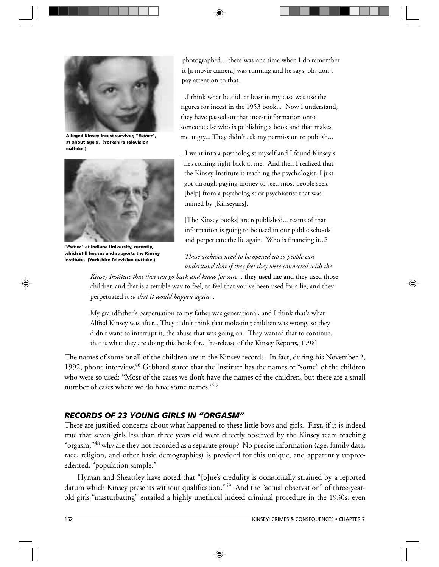

**Alleged Kinsey incest survivor, "***Esther***", at about age 9. (Yorkshire Television outtake.)**



**"***Esther***" at Indiana University, recently, which still houses and supports the Kinsey Institute. (Yorkshire Television outtake.)**

photographed... there was one time when I do remember it [a movie camera] was running and he says, oh, don't pay attention to that.

...I think what he did, at least in my case was use the figures for incest in the 1953 book... Now I understand, they have passed on that incest information onto someone else who is publishing a book and that makes me angry... They didn't ask my permission to publish...

...I went into a psychologist myself and I found Kinsey's lies coming right back at me. And then I realized that the Kinsey Institute is teaching the psychologist, I just got through paying money to see.. most people seek [help] from a psychologist or psychiatrist that was trained by [Kinseyans].

[The Kinsey books] are republished... reams of that information is going to be used in our public schools and perpetuate the lie again. Who is financing it...?

*Those archives need to be opened up so people can understand that if they feel they were connected with the*

*Kinsey Institute that they can go back and know for sure*... **they used me** and they used those children and that is a terrible way to feel, to feel that you've been used for a lie, and they perpetuated it *so that it would happen again*...

My grandfather's perpetuation to my father was generational, and I think that's what Alfred Kinsey was after... They didn't think that molesting children was wrong, so they didn't want to interrupt it, the abuse that was going on. They wanted that to continue, that is what they are doing this book for... [re-release of the Kinsey Reports, 1998]

The names of some or all of the children are in the Kinsey records. In fact, during his November 2, 1992, phone interview, <sup>46</sup> Gebhard stated that the Institute has the names of "some" of the children who were so used: "Most of the cases we don't have the names of the children, but there are a small number of cases where we do have some names."47

# *RECORDS OF 23 YOUNG GIRLS IN "ORGASM"*

There are justified concerns about what happened to these little boys and girls. First, if it is indeed true that seven girls less than three years old were directly observed by the Kinsey team reaching "orgasm,"48 why are they not recorded as a separate group? No precise information (age, family data, race, religion, and other basic demographics) is provided for this unique, and apparently unprecedented, "population sample."

Hyman and Sheatsley have noted that "[o]ne's credulity is occasionally strained by a reported datum which Kinsey presents without qualification."<sup>49</sup> And the "actual observation" of three-yearold girls "masturbating" entailed a highly unethical indeed criminal procedure in the 1930s, even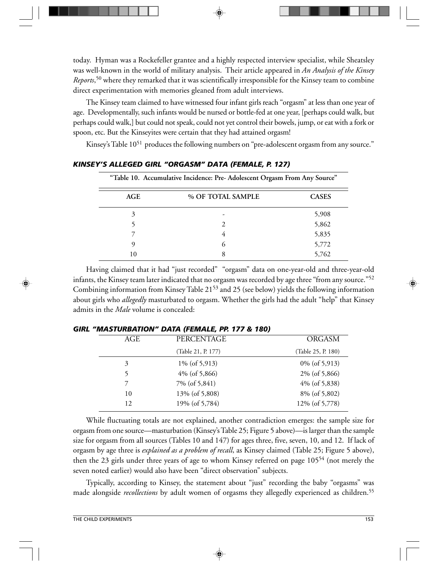today. Hyman was a Rockefeller grantee and a highly respected interview specialist, while Sheatsley was well-known in the world of military analysis. Their article appeared in *An Analysis of the Kinsey Reports*, <sup>50</sup> where they remarked that it was scientifically irresponsible for the Kinsey team to combine direct experimentation with memories gleaned from adult interviews.

The Kinsey team claimed to have witnessed four infant girls reach "orgasm" at less than one year of age. Developmentally, such infants would be nursed or bottle-fed at one year, [perhaps could walk, but perhaps could walk,] but could not speak, could not yet control their bowels, jump, or eat with a fork or spoon, etc. But the Kinseyites were certain that they had attained orgasm!

Kinsey's Table  $10^{51}$  produces the following numbers on "pre-adolescent orgasm from any source."

|     | "Table 10. Accumulative Incidence: Pre- Adolescent Orgasm From Any Source" |              |  |  |  |
|-----|----------------------------------------------------------------------------|--------------|--|--|--|
| AGE | % OF TOTAL SAMPLE                                                          | <b>CASES</b> |  |  |  |
| 3   |                                                                            | 5,908        |  |  |  |
|     | 2                                                                          | 5,862        |  |  |  |
|     | 4                                                                          | 5,835        |  |  |  |
| O)  | 6                                                                          | 5,772        |  |  |  |
| 10  | 8                                                                          | 5.762        |  |  |  |

*KINSEY'S ALLEGED GIRL "ORGASM" DATA (FEMALE, P. 127)*

Having claimed that it had "just recorded" "orgasm" data on one-year-old and three-year-old infants, the Kinsey team later indicated that no orgasm was recorded by age three "from any source."<sup>52</sup> Combining information from Kinsey Table 21<sup>53</sup> and 25 (see below) yields the following information about girls who *allegedly* masturbated to orgasm. Whether the girls had the adult "help" that Kinsey admits in the *Male* volume is concealed:

| IIIAJI VI\PAI IVIV | <i>DAIA (I LIVIALL, FF. 177 &amp; 100)</i> |                    |
|--------------------|--------------------------------------------|--------------------|
| AGE.               | PERCENTAGE                                 | <b>ORGASM</b>      |
|                    | (Table 21, P. 177)                         | (Table 25, P. 180) |
| 3                  | $1\%$ (of 5,913)                           | $0\%$ (of 5,913)   |
|                    | $4\%$ (of 5,866)                           | $2\%$ (of 5,866)   |
|                    | 7% (of 5,841)                              | $4\%$ (of 5,838)   |
| 10                 | 13\% (of 5,808)                            | 8\% (of 5,802)     |
| 12                 | 19% (of 5,784)                             | 12% (of 5,778)     |
|                    |                                            |                    |

*GIRL "MASTURBATION" DATA (FEMALE, PP. 177 & 180)*

While fluctuating totals are not explained, another contradiction emerges: the sample size for orgasm from one source—masturbation (Kinsey's Table 25; Figure 5 above)—is larger than the sample size for orgasm from all sources (Tables 10 and 147) for ages three, five, seven, 10, and 12. If lack of orgasm by age three is *explained as a problem of recall*, as Kinsey claimed (Table 25; Figure 5 above), then the 23 girls under three years of age to whom Kinsey referred on page 105<sup>54</sup> (not merely the seven noted earlier) would also have been "direct observation" subjects.

Typically, according to Kinsey, the statement about "just" recording the baby "orgasms" was made alongside *recollections* by adult women of orgasms they allegedly experienced as children.55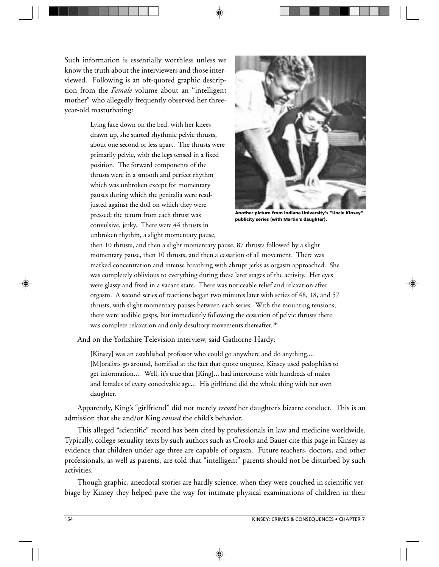Such information is essentially worthless unless we know the truth about the interviewers and those interviewed. Following is an oft-quoted graphic description from the *Female* volume about an "intelligent mother" who allegedly frequently observed her threeyear-old masturbating:

> Lying face down on the bed, with her knees drawn up, she started rhythmic pelvic thrusts, about one second or less apart. The thrusts were primarily pelvic, with the legs tensed in a fixed position. The forward components of the thrusts were in a smooth and perfect rhythm which was unbroken except for momentary pauses during which the genitalia were readjusted against the doll on which they were pressed; the return from each thrust was convulsive, jerky. There were 44 thrusts in unbroken rhythm, a slight momentary pause,



**Another picture from Indiana University's "Uncle Kinsey" publicity series (with Martin's daughter).**

then 10 thrusts, and then a slight momentary pause, 87 thrusts followed by a slight momentary pause, then 10 thrusts, and then a cessation of all movement. There was marked concentration and intense breathing with abrupt jerks as orgasm approached. She was completely oblivious to everything during these later stages of the activity. Her eyes were glassy and fixed in a vacant stare. There was noticeable relief and relaxation after orgasm. A second series of reactions began two minutes later with series of 48, 18, and 57 thrusts, with slight momentary pauses between each series. With the mounting tensions, there were audible gasps, but immediately following the cessation of pelvic thrusts there was complete relaxation and only desultory movements thereafter.<sup>56</sup>

And on the Yorkshire Television interview, said Gathorne-Hardy:

[Kinsey] was an established professor who could go anywhere and do anything.... [M]oralists go around, horrified at the fact that quote unquote, Kinsey used pedophiles to get information.... Well, it's true that [King]... had intercourse with hundreds of males and females of every conceivable age... His girlfriend did the whole thing with her own daughter.

Apparently, King's "girlfriend" did not merely *record* her daughter's bizarre conduct. This is an admission that she and/or King *caused* the child's behavior.

This alleged "scientific" record has been cited by professionals in law and medicine worldwide. Typically, college sexuality texts by such authors such as Crooks and Bauer cite this page in Kinsey as evidence that children under age three are capable of orgasm. Future teachers, doctors, and other professionals, as well as parents, are told that "intelligent" parents should not be disturbed by such activities.

Though graphic, anecdotal stories are hardly science, when they were couched in scientific verbiage by Kinsey they helped pave the way for intimate physical examinations of children in their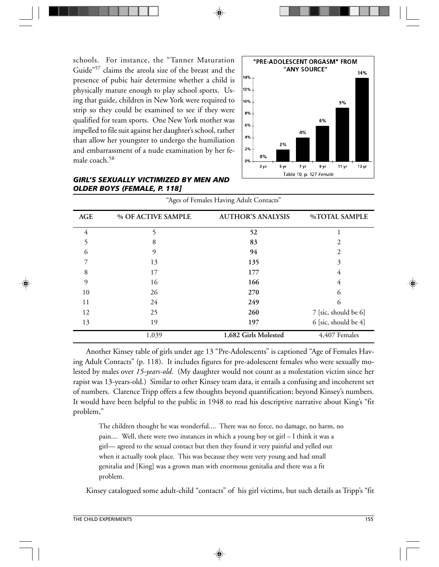schools. For instance, the "Tanner Maturation Guide"57 claims the areola size of the breast and the presence of pubic hair determine whether a child is physically mature enough to play school sports. Using that guide, children in New York were required to strip so they could be examined to see if they were qualified for team sports. One New York mother was impelled to file suit against her daughter's school, rather than allow her youngster to undergo the humiliation and embarrassment of a nude examination by her female coach.<sup>58</sup>



*GIRL'S SEXUALLY VICTIMIZED BY MEN AND OLDER BOYS (FEMALE, P. 118]*

|            | $\sigma$           | $\sigma$                 |                      |
|------------|--------------------|--------------------------|----------------------|
| <b>AGE</b> | % OF ACTIVE SAMPLE | <b>AUTHOR'S ANALYSIS</b> | <b>%TOTAL SAMPLE</b> |
| 4          | 5                  | 52                       |                      |
| 5          | 8                  | 83                       | 2                    |
| 6          | 9                  | 94                       | 2                    |
|            | 13                 | 135                      | 3                    |
| 8          | 17                 | 177                      | 4                    |
| 9          | 16                 | 166                      | 4                    |
| 10         | 26                 | 270                      | 6                    |
| 11         | 24                 | 249                      | 6                    |
| 12         | 25                 | 260                      | 7 [sic, should be 6] |
| 13         | 19                 | 197                      | 6 [sic, should be 4] |
|            | 1,039              | 1,682 Girls Molested     | 4,407 Females        |

"Ages of Females Having Adult Contacts"

Another Kinsey table of girls under age 13 "Pre-Adolescents" is captioned "Age of Females Having Adult Contacts" (p. 118). It includes figures for pre-adolescent females who were sexually molested by males over *15-years-old*. (My daughter would not count as a molestation victim since her rapist was 13-years-old.) Similar to other Kinsey team data, it entails a confusing and incoherent set of numbers. Clarence Tripp offers a few thoughts beyond quantification; beyond Kinsey's numbers. It would have been helpful to the public in 1948 to read his descriptive narrative about King's "fit problem,"

The children thought he was wonderful.... There was no force, no damage, no harm, no pain..*..* Well, there were two instances in which a young boy or girl – I think it was a girl— agreed to the sexual contact but then they found it very painful and yelled out when it actually took place. This was because they were very young and had small genitalia and [King] was a grown man with enormous genitalia and there was a fit problem.

Kinsey catalogued some adult-child "contacts" of his girl victims, but such details as Tripp's "fit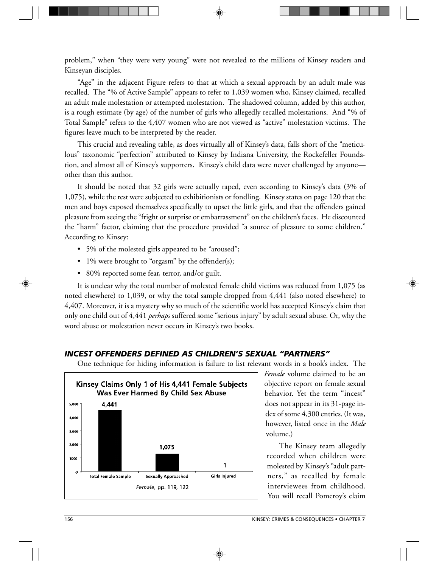problem," when "they were very young" were not revealed to the millions of Kinsey readers and Kinseyan disciples.

"Age" in the adjacent Figure refers to that at which a sexual approach by an adult male was recalled. The "% of Active Sample" appears to refer to 1,039 women who, Kinsey claimed, recalled an adult male molestation or attempted molestation. The shadowed column, added by this author, is a rough estimate (by age) of the number of girls who allegedly recalled molestations. And "% of Total Sample" refers to the 4,407 women who are not viewed as "active" molestation victims. The figures leave much to be interpreted by the reader.

This crucial and revealing table, as does virtually all of Kinsey's data, falls short of the "meticulous" taxonomic "perfection" attributed to Kinsey by Indiana University, the Rockefeller Foundation, and almost all of Kinsey's supporters. Kinsey's child data were never challenged by anyone other than this author.

It should be noted that 32 girls were actually raped, even according to Kinsey's data (3% of 1,075), while the rest were subjected to exhibitionists or fondling. Kinsey states on page 120 that the men and boys exposed themselves specifically to upset the little girls, and that the offenders gained pleasure from seeing the "fright or surprise or embarrassment" on the children's faces. He discounted the "harm" factor, claiming that the procedure provided "a source of pleasure to some children." According to Kinsey:

- 5% of the molested girls appeared to be "aroused";
- 1% were brought to "orgasm" by the offender(s);
- 80% reported some fear, terror, and/or guilt.

It is unclear why the total number of molested female child victims was reduced from 1,075 (as noted elsewhere) to 1,039, or why the total sample dropped from 4,441 (also noted elsewhere) to 4,407. Moreover, it is a mystery why so much of the scientific world has accepted Kinsey's claim that only one child out of 4,441 *perhaps* suffered some "serious injury" by adult sexual abuse. Or, why the word abuse or molestation never occurs in Kinsey's two books.

# *INCEST OFFENDERS DEFINED AS CHILDREN'S SEXUAL "PARTNERS"*

One technique for hiding information is failure to list relevant words in a book's index. The



*Female* volume claimed to be an objective report on female sexual behavior. Yet the term "incest" does not appear in its 31-page index of some 4,300 entries. (It was, however, listed once in the *Male* volume.)

The Kinsey team allegedly recorded when children were molested by Kinsey's "adult partners," as recalled by female interviewees from childhood. You will recall Pomeroy's claim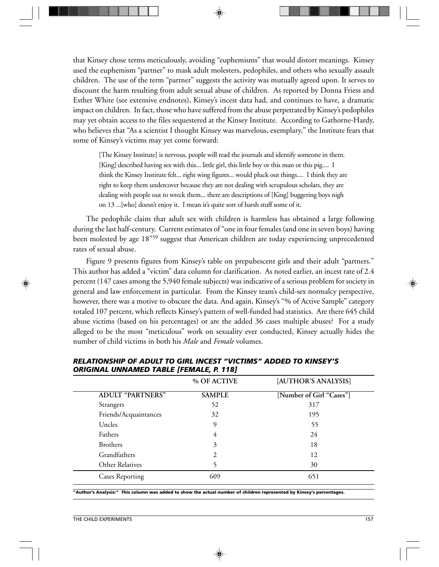that Kinsey chose terms meticulously, avoiding "euphemisms" that would distort meanings. Kinsey used the euphemism "partner" to mask adult molesters, pedophiles, and others who sexually assault children. The use of the term "partner" suggests the activity was mutually agreed upon. It serves to discount the harm resulting from adult sexual abuse of children. As reported by Donna Friess and Esther White (see extensive endnotes), Kinsey's incest data had, and continues to have, a dramatic impact on children. In fact, those who have suffered from the abuse perpetrated by Kinsey's pedophiles may yet obtain access to the files sequestered at the Kinsey Institute. According to Gathorne-Hardy, who believes that "As a scientist I thought Kinsey was marvelous, exemplary," the Institute fears that some of Kinsey's victims may yet come forward:

[The Kinsey Institute] is nervous, people will read the journals and identify someone in them. [King] described having sex with this... little girl, this little boy or this man or this pig.... I think the Kinsey Institute felt... right wing figures... would pluck out things.... I think they are right to keep them undercover because they are not dealing with scrupulous scholars, they are dealing with people out to wreck them... there are descriptions of [King] buggering boys nigh on 13 ...[who] doesn't enjoy it. I mean it's quite sort of harsh stuff some of it.

The pedophile claim that adult sex with children is harmless has obtained a large following during the last half-century. Current estimates of "one in four females (and one in seven boys) having been molested by age 18"<sup>59</sup> suggest that American children are today experiencing unprecedented rates of sexual abuse.

Figure 9 presents figures from Kinsey's table on prepubescent girls and their adult "partners." This author has added a "victim" data column for clarification. As noted earlier, an incest rate of 2.4 percent (147 cases among the 5,940 female subjects) was indicative of a serious problem for society in general and law enforcement in particular. From the Kinsey team's child-sex normalcy perspective, however, there was a motive to obscure the data. And again, Kinsey's "% of Active Sample" category totaled 107 percent, which reflects Kinsey's pattern of well-funded bad statistics. Are there 645 child abuse victims (based on his percentages) or are the added 36 cases multiple abuses? For a study alleged to be the most "meticulous" work on sexuality ever conducted, Kinsey actually hides the number of child victims in both his *Male* and *Female* volumes.

|                         | % OF ACTIVE   | [AUTHOR'S ANALYSIS]      |
|-------------------------|---------------|--------------------------|
| <b>ADULT "PARTNERS"</b> | <b>SAMPLE</b> | [Number of Girl "Cases"] |
| Strangers               | 52            | 317                      |
| Friends/Acquaintances   | 32            | 195                      |
| Uncles                  | 9             | 55                       |
| Fathers                 | 4             | 24                       |
| <b>Brothers</b>         | 3             | 18                       |
| Grandfathers            | 2             | 12                       |
| Other Relatives         |               | 30                       |
| <b>Cases Reporting</b>  | 609           | 651                      |

#### *RELATIONSHIP OF ADULT TO GIRL INCEST "VICTIMS" ADDED TO KINSEY'S ORIGINAL UNNAMED TABLE [FEMALE, P. 118]*

**"Author's Analysis:" This column was added to show the actual number of children represented by Kinsey's percentages.**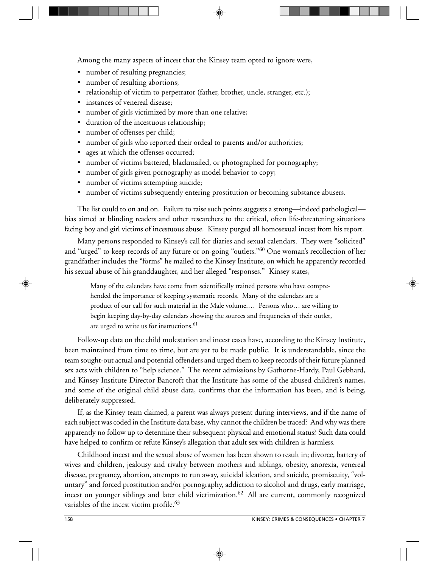Among the many aspects of incest that the Kinsey team opted to ignore were,

- number of resulting pregnancies;
- number of resulting abortions;
- relationship of victim to perpetrator (father, brother, uncle, stranger, etc.);
- instances of venereal disease;
- number of girls victimized by more than one relative;
- duration of the incestuous relationship;
- number of offenses per child;
- number of girls who reported their ordeal to parents and/or authorities;
- ages at which the offenses occurred;
- number of victims battered, blackmailed, or photographed for pornography;
- number of girls given pornography as model behavior to copy;
- number of victims attempting suicide;
- number of victims subsequently entering prostitution or becoming substance abusers.

The list could to on and on. Failure to raise such points suggests a strong—indeed pathological bias aimed at blinding readers and other researchers to the critical, often life-threatening situations facing boy and girl victims of incestuous abuse. Kinsey purged all homosexual incest from his report.

Many persons responded to Kinsey's call for diaries and sexual calendars. They were "solicited" and "urged" to keep records of any future or on-going "outlets."60 One woman's recollection of her grandfather includes the "forms" he mailed to the Kinsey Institute, on which he apparently recorded his sexual abuse of his granddaughter, and her alleged "responses." Kinsey states,

Many of the calendars have come from scientifically trained persons who have comprehended the importance of keeping systematic records. Many of the calendars are a product of our call for such material in the Male volume.… Persons who… are willing to begin keeping day-by-day calendars showing the sources and frequencies of their outlet, are urged to write us for instructions.<sup>61</sup>

Follow-up data on the child molestation and incest cases have, according to the Kinsey Institute, been maintained from time to time, but are yet to be made public. It is understandable, since the team sought-out actual and potential offenders and urged them to keep records of their future planned sex acts with children to "help science." The recent admissions by Gathorne-Hardy, Paul Gebhard, and Kinsey Institute Director Bancroft that the Institute has some of the abused children's names, and some of the original child abuse data, confirms that the information has been, and is being, deliberately suppressed.

If, as the Kinsey team claimed, a parent was always present during interviews, and if the name of each subject was coded in the Institute data base, why cannot the children be traced? And why was there apparently no follow up to determine their subsequent physical and emotional status? Such data could have helped to confirm or refute Kinsey's allegation that adult sex with children is harmless.

Childhood incest and the sexual abuse of women has been shown to result in; divorce, battery of wives and children, jealousy and rivalry between mothers and siblings, obesity, anorexia, venereal disease, pregnancy, abortion, attempts to run away, suicidal ideation, and suicide, promiscuity, "voluntary" and forced prostitution and/or pornography, addiction to alcohol and drugs, early marriage, incest on younger siblings and later child victimization.<sup>62</sup> All are current, commonly recognized variables of the incest victim profile.<sup>63</sup>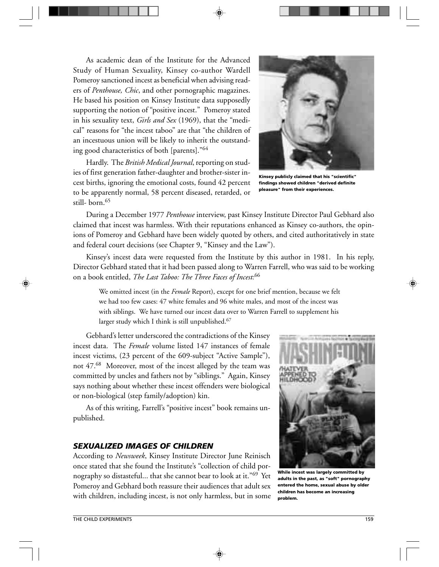As academic dean of the Institute for the Advanced Study of Human Sexuality, Kinsey co-author Wardell Pomeroy sanctioned incest as beneficial when advising readers of *Penthouse, Chic*, and other pornographic magazines. He based his position on Kinsey Institute data supposedly supporting the notion of "positive incest." Pomeroy stated in his sexuality text, *Girls and Sex* (1969), that the "medical" reasons for "the incest taboo" are that "the children of an incestuous union will be likely to inherit the outstanding good characteristics of both [parents]."64

Hardly. The *British Medical Journal*, reporting on studies of first generation father-daughter and brother-sister incest births, ignoring the emotional costs, found 42 percent to be apparently normal, 58 percent diseased, retarded, or still-born.<sup>65</sup>

During a December 1977 *Penthouse* interview, past Kinsey Institute Director Paul Gebhard also claimed that incest was harmless. With their reputations enhanced as Kinsey co-authors, the opinions of Pomeroy and Gebhard have been widely quoted by others, and cited authoritatively in state and federal court decisions (see Chapter 9, "Kinsey and the Law").

Kinsey's incest data were requested from the Institute by this author in 1981. In his reply, Director Gebhard stated that it had been passed along to Warren Farrell, who was said to be working on a book entitled, *The Last Taboo: The Three Faces of Incest:*<sup>66</sup>

We omitted incest (in the *Female* Report), except for one brief mention, because we felt we had too few cases: 47 white females and 96 white males, and most of the incest was with siblings. We have turned our incest data over to Warren Farrell to supplement his larger study which I think is still unpublished. $67$ 

Gebhard's letter underscored the contradictions of the Kinsey incest data. The *Female* volume listed 147 instances of female incest victims, (23 percent of the 609-subject "Active Sample"), not 47.68 Moreover, most of the incest alleged by the team was committed by uncles and fathers not by "siblings." Again, Kinsey says nothing about whether these incest offenders were biological or non-biological (step family/adoption) kin.

As of this writing, Farrell's "positive incest" book remains unpublished.

#### *SEXUALIZED IMAGES OF CHILDREN*

According to *Newsweek*, Kinsey Institute Director June Reinisch once stated that she found the Institute's "collection of child pornography so distasteful... that she cannot bear to look at it."69 Yet Pomeroy and Gebhard both reassure their audiences that adult sex with children, including incest, is not only harmless, but in some

**adults in the past, as "soft" pornography entered the home, sexual abuse by older children has become an increasing problem.**



**findings showed children "derived definite pleasure" from their experiences.**

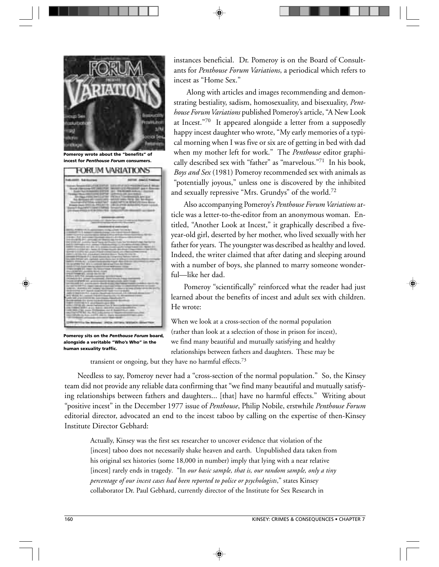

**Pomeroy wrote about the "benefits" of incest for** *Penthouse Forum* **consumers.**

#### FORUM VARIATIONS

| <b>AMEL Addition</b>                                                                                                                                               | <b>BEETING JENNYALZ Av</b>                                                                                                                          |
|--------------------------------------------------------------------------------------------------------------------------------------------------------------------|-----------------------------------------------------------------------------------------------------------------------------------------------------|
| <b>NETTERSTON</b>                                                                                                                                                  | a Frimmi platford                                                                                                                                   |
| topic forested district to E.S.P.OT.                                                                                                                               | <b><i>SERVICE MERRING</i></b>                                                                                                                       |
| could chance you city think                                                                                                                                        | MARKETIN'S PROGRESS ALC:                                                                                                                            |
| <b>Business Printed Business And Con-</b>                                                                                                                          | 2811 TRUSHER-Avenue 1 10                                                                                                                            |
|                                                                                                                                                                    | 120910-01020-01020-01020-0                                                                                                                          |
|                                                                                                                                                                    | Glassificans Address provided and KAY 4-ME travel Three Global annually power appear<br>his declare of I control to a state year, twist the product |
| <b>Road of a Allian Associate</b>                                                                                                                                  | August Copper For Case (Selling), price was Minimum                                                                                                 |
| County Church 455116; PRILIATTS                                                                                                                                    | <b>LINCOLNTON AANGUING TEACH FOOD</b>                                                                                                               |
|                                                                                                                                                                    |                                                                                                                                                     |
|                                                                                                                                                                    | <b>GARDEN</b>                                                                                                                                       |
|                                                                                                                                                                    |                                                                                                                                                     |
|                                                                                                                                                                    | ___                                                                                                                                                 |
|                                                                                                                                                                    | and collected the process and at making and of the party                                                                                            |
|                                                                                                                                                                    | to an except the detection of the contract of the                                                                                                   |
|                                                                                                                                                                    |                                                                                                                                                     |
| <b>BAVILL ATMOSPT ON ALL ADDITIONAL</b>                                                                                                                            | <b><i>ARTHUR IS STARTING TO AN ARTIST</i></b>                                                                                                       |
| 2 0444 (FIFE & Automotive Association of the United States                                                                                                         |                                                                                                                                                     |
| <b>GARD TAUTS AVA</b>                                                                                                                                              |                                                                                                                                                     |
| Drivelen - Roll Andrewaterman                                                                                                                                      | <b>State College Co., \$10 Winners</b>                                                                                                              |
| In the play and the date of previously contributions of the date of a 19 mil-                                                                                      |                                                                                                                                                     |
| BAT GOARD COR  producers Traced Traces was fillmooks if why they be a detailed<br>and (ii) intervals as a call company to business entropy in a structure above as |                                                                                                                                                     |
| <b>DORFF SEXIED IN AIL AN: III) INSIDE FORE AANT/TANK HAAFTER</b>                                                                                                  | <b>Manager Street</b>                                                                                                                               |
| (photos) is a state at a factor of three stands also drag in the con-                                                                                              |                                                                                                                                                     |
| SEARCH COUNTY AT A part from the construction of the county of the con-<br>Edministrates And Links dealers address down 19-April 10-Hartes St.                     |                                                                                                                                                     |
| presented all fill computer of a computation product that in computing the primation of restricts.                                                                 |                                                                                                                                                     |
| SALVANIA PHROGRAPHIC CONTRACT CONTRACTOR IN A MONARCHISECO ANGELES                                                                                                 |                                                                                                                                                     |
| Sand in this case, and is a security and provided the product of the contract construction                                                                         |                                                                                                                                                     |
| the parameter from Mini-1 continued better and from the resident to the<br>\$950 FTTD Auto can be deletioned with and care a firm                                  |                                                                                                                                                     |
| Engineering to the many thy hangy-round. His also any contract of                                                                                                  |                                                                                                                                                     |
| three contract and a second line factory in the set                                                                                                                |                                                                                                                                                     |
| Drive and Publishers, and the process of the con-                                                                                                                  |                                                                                                                                                     |
| RIPLE AFTER JANEA COMPANY SEVERY SUA<br><b>DEMORE EX JONE ELECTRIC DIVISION FINE REPORT</b>                                                                        |                                                                                                                                                     |
| Incare products are granted and all approaches and the first of the                                                                                                |                                                                                                                                                     |
| teri dikuasili iki 4 dagata dada das                                                                                                                               |                                                                                                                                                     |
| The AM FOR THE R. L. LEWIS CO., LANSING, MICH. 49-14039-1-120-2                                                                                                    |                                                                                                                                                     |
| ordered, studentist with challeng republished to editories because of letter<br>dedicating as it lease assembly that managers and a                                |                                                                                                                                                     |
| AND IT DIED A FLA. A meter Department following a life convenient and                                                                                              |                                                                                                                                                     |
| B/S WAS ALL colour FIGAN COLORADOR TO ATTACHMENT BASE                                                                                                              |                                                                                                                                                     |
|                                                                                                                                                                    | <b>CONTRACTOR CONTRACTORS</b>                                                                                                                       |
| Bridde antique du a grand con de de montante de victimide - i<br>THREE CONTENTATION IS also because apply their                                                    |                                                                                                                                                     |
| and any of the party of the company of the contract and                                                                                                            |                                                                                                                                                     |
| The freezed letted, at 21. March 2022 Miles associated and the street                                                                                              |                                                                                                                                                     |
| (400 With CSA) (cases findigenous, and & Research South)                                                                                                           |                                                                                                                                                     |
| mail factor of the Auto And Judge except to "Master on<br>the CARACTER ALL Areas, and PA. 2022 For character and company                                           |                                                                                                                                                     |
|                                                                                                                                                                    |                                                                                                                                                     |
|                                                                                                                                                                    |                                                                                                                                                     |
| FOR THI MANAGER 2003A COTTONS TESTAR                                                                                                                               |                                                                                                                                                     |
|                                                                                                                                                                    |                                                                                                                                                     |
|                                                                                                                                                                    |                                                                                                                                                     |

**Pomeroy sits on the** *Penthouse Forum* **board, alongside a veritable "Who's Who" in the human sexuality traffic.**

instances beneficial. Dr. Pomeroy is on the Board of Consultants for *Penthouse Forum Variations*, a periodical which refers to incest as "Home Sex."

Along with articles and images recommending and demonstrating bestiality, sadism, homosexuality, and bisexuality, *Penthouse Forum Variations* published Pomeroy's article, "A New Look at Incest."<sup>70</sup> It appeared alongside a letter from a supposedly happy incest daughter who wrote, "My early memories of a typical morning when I was five or six are of getting in bed with dad when my mother left for work." The *Penthouse* editor graphically described sex with "father" as "marvelous."71 In his book, *Boys and Sex* (1981) Pomeroy recommended sex with animals as "potentially joyous," unless one is discovered by the inhibited and sexually repressive "Mrs. Grundys" of the world.<sup>72</sup>

Also accompanying Pomeroy's *Penthouse Forum Variations* article was a letter-to-the-editor from an anonymous woman. Entitled, "Another Look at Incest," it graphically described a fiveyear-old girl, deserted by her mother, who lived sexually with her father for years. The youngster was described as healthy and loved. Indeed, the writer claimed that after dating and sleeping around with a number of boys, she planned to marry someone wonderful—like her dad.

Pomeroy "scientifically" reinforced what the reader had just learned about the benefits of incest and adult sex with children. He wrote:

When we look at a cross-section of the normal population (rather than look at a selection of those in prison for incest), we find many beautiful and mutually satisfying and healthy relationships between fathers and daughters. These may be

transient or ongoing, but they have no harmful effects.<sup>73</sup>

Needless to say, Pomeroy never had a "cross-section of the normal population." So, the Kinsey team did not provide any reliable data confirming that "we find many beautiful and mutually satisfying relationships between fathers and daughters... [that] have no harmful effects." Writing about "positive incest" in the December 1977 issue of *Penthouse*, Philip Nobile, erstwhile *Penthouse Forum* editorial director, advocated an end to the incest taboo by calling on the expertise of then-Kinsey Institute Director Gebhard:

Actually, Kinsey was the first sex researcher to uncover evidence that violation of the [incest] taboo does not necessarily shake heaven and earth. Unpublished data taken from his original sex histories (some 18,000 in number) imply that lying with a near relative [incest] rarely ends in tragedy*.* "In *our basic sample, that is, our random sample, only a tiny percentage of our incest cases had been reported to police or psychologists*," states Kinsey collaborator Dr. Paul Gebhard, currently director of the Institute for Sex Research in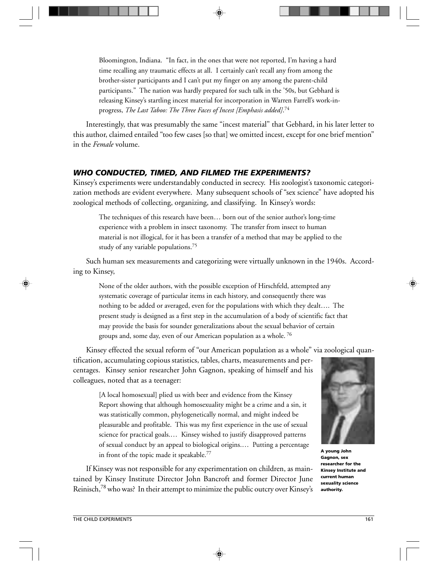Bloomington, Indiana. "In fact, in the ones that were not reported, I'm having a hard time recalling any traumatic effects at all. I certainly can't recall any from among the brother-sister participants and I can't put my finger on any among the parent-child participants." The nation was hardly prepared for such talk in the '50s, but Gebhard is releasing Kinsey's startling incest material for incorporation in Warren Farrell's work-inprogress, *The Last Taboo: The Three Faces of Incest [Emphasis added]*. 74

Interestingly, that was presumably the same "incest material" that Gebhard, in his later letter to this author, claimed entailed "too few cases [so that] we omitted incest, except for one brief mention" in the *Female* volume.

#### *WHO CONDUCTED, TIMED, AND FILMED THE EXPERIMENTS?*

Kinsey's experiments were understandably conducted in secrecy. His zoologist's taxonomic categorization methods are evident everywhere. Many subsequent schools of "sex science" have adopted his zoological methods of collecting, organizing, and classifying. In Kinsey's words:

The techniques of this research have been… born out of the senior author's long-time experience with a problem in insect taxonomy. The transfer from insect to human material is not illogical, for it has been a transfer of a method that may be applied to the study of any variable populations.<sup>75</sup>

Such human sex measurements and categorizing were virtually unknown in the 1940s. According to Kinsey,

None of the older authors, with the possible exception of Hirschfeld, attempted any systematic coverage of particular items in each history, and consequently there was nothing to be added or averaged, even for the populations with which they dealt…. The present study is designed as a first step in the accumulation of a body of scientific fact that may provide the basis for sounder generalizations about the sexual behavior of certain groups and, some day, even of our American population as a whole.<sup>76</sup>

Kinsey effected the sexual reform of "our American population as a whole" via zoological quan-

tification, accumulating copious statistics, tables, charts, measurements and percentages. Kinsey senior researcher John Gagnon, speaking of himself and his colleagues, noted that as a teenager:

> [A local homosexual] plied us with beer and evidence from the Kinsey Report showing that although homosexuality might be a crime and a sin, it was statistically common, phylogenetically normal, and might indeed be pleasurable and profitable. This was my first experience in the use of sexual science for practical goals.… Kinsey wished to justify disapproved patterns of sexual conduct by an appeal to biological origins.… Putting a percentage in front of the topic made it speakable.77

If Kinsey was not responsible for any experimentation on children, as maintained by Kinsey Institute Director John Bancroft and former Director June Reinisch,78 who was? In their attempt to minimize the public outcry over Kinsey's



**A young John Gagnon, sex researcher for the Kinsey Institute and current human sexuality science authority.**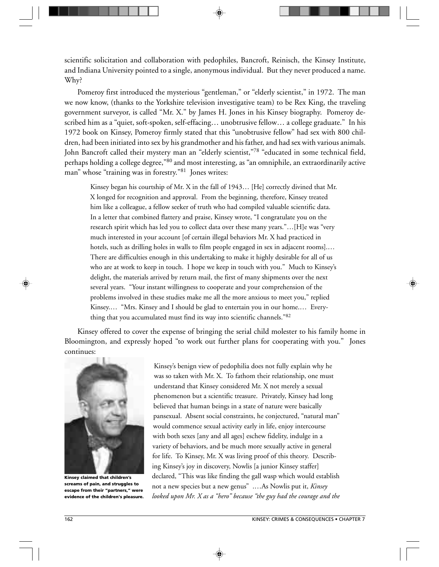scientific solicitation and collaboration with pedophiles, Bancroft, Reinisch, the Kinsey Institute, and Indiana University pointed to a single, anonymous individual. But they never produced a name. Why?

Pomeroy first introduced the mysterious "gentleman," or "elderly scientist," in 1972. The man we now know, (thanks to the Yorkshire television investigative team) to be Rex King, the traveling government surveyor, is called "Mr. X." by James H. Jones in his Kinsey biography. Pomeroy described him as a "quiet, soft-spoken, self-effacing… unobtrusive fellow… a college graduate." In his 1972 book on Kinsey, Pomeroy firmly stated that this "unobtrusive fellow" had sex with 800 children, had been initiated into sex by his grandmother and his father, and had sex with various animals. John Bancroft called their mystery man an "elderly scientist,"78 "educated in some technical field, perhaps holding a college degree,"80 and most interesting, as "an omniphile, an extraordinarily active man" whose "training was in forestry."<sup>81</sup> Jones writes:

Kinsey began his courtship of Mr. X in the fall of 1943… [He] correctly divined that Mr. X longed for recognition and approval. From the beginning, therefore, Kinsey treated him like a colleague, a fellow seeker of truth who had compiled valuable scientific data. In a letter that combined flattery and praise, Kinsey wrote, "I congratulate you on the research spirit which has led you to collect data over these many years."…[H]e was "very much interested in your account [of certain illegal behaviors Mr. X had practiced in hotels, such as drilling holes in walls to film people engaged in sex in adjacent rooms].… There are difficulties enough in this undertaking to make it highly desirable for all of us who are at work to keep in touch. I hope we keep in touch with you." Much to Kinsey's delight, the materials arrived by return mail, the first of many shipments over the next several years. "Your instant willingness to cooperate and your comprehension of the problems involved in these studies make me all the more anxious to meet you," replied Kinsey.… "Mrs. Kinsey and I should be glad to entertain you in our home.… Everything that you accumulated must find its way into scientific channels."82

Kinsey offered to cover the expense of bringing the serial child molester to his family home in Bloomington, and expressly hoped "to work out further plans for cooperating with you." Jones continues:



**Kinsey claimed that children's screams of pain, and struggles to escape from their "partners," were evidence of the children's pleasure.**

Kinsey's benign view of pedophilia does not fully explain why he was so taken with Mr. X. To fathom their relationship, one must understand that Kinsey considered Mr. X not merely a sexual phenomenon but a scientific treasure. Privately, Kinsey had long believed that human beings in a state of nature were basically pansexual. Absent social constraints, he conjectured, "natural man" would commence sexual activity early in life, enjoy intercourse with both sexes [any and all ages] eschew fidelity, indulge in a variety of behaviors, and be much more sexually active in general for life. To Kinsey, Mr. X was living proof of this theory. Describing Kinsey's joy in discovery, Nowlis [a junior Kinsey staffer] declared, "This was like finding the gall wasp which would establish not a new species but a new genus" .…As Nowlis put it, *Kinsey looked upon Mr. X as a "hero" because "the guy had the courage and the*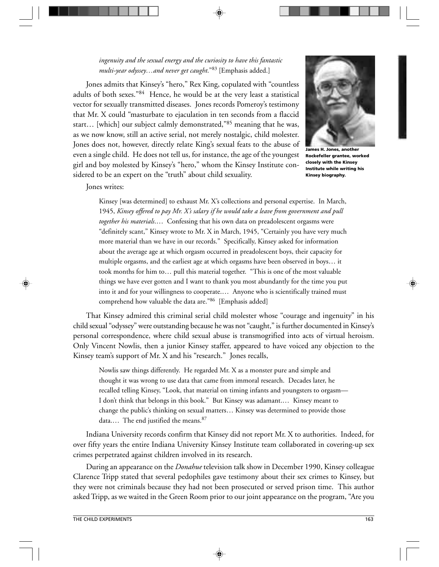#### *ingenuity and the sexual energy and the curiosity to have this fantastic multi-year odyssey…and never get caught*."83 [Emphasis added.]

Jones admits that Kinsey's "hero," Rex King, copulated with "countless adults of both sexes."<sup>84</sup> Hence, he would be at the very least a statistical vector for sexually transmitted diseases. Jones records Pomeroy's testimony that Mr. X could "masturbate to ejaculation in ten seconds from a flaccid start… [which] our subject calmly demonstrated,"85 meaning that he was, as we now know, still an active serial, not merely nostalgic, child molester. Jones does not, however, directly relate King's sexual feats to the abuse of even a single child. He does not tell us, for instance, the age of the youngest girl and boy molested by Kinsey's "hero," whom the Kinsey Institute considered to be an expert on the "truth" about child sexuality.



**James H. Jones, another Rockefeller grantee, worked closely with the Kinsey Institute while writing his Kinsey biography.**

Jones writes:

Kinsey [was determined] to exhaust Mr. X's collections and personal expertise. In March, 1945, *Kinsey offered to pay Mr. X's salary if he would take a leave from government and pull together his materials*.… Confessing that his own data on preadolescent orgasms were "definitely scant," Kinsey wrote to Mr. X in March, 1945, "Certainly you have very much more material than we have in our records." Specifically, Kinsey asked for information about the average age at which orgasm occurred in preadolescent boys, their capacity for multiple orgasms, and the earliest age at which orgasms have been observed in boys… it took months for him to… pull this material together. "This is one of the most valuable things we have ever gotten and I want to thank you most abundantly for the time you put into it and for your willingness to cooperate.… Anyone who is scientifically trained must comprehend how valuable the data are."86 [Emphasis added]

That Kinsey admired this criminal serial child molester whose "courage and ingenuity" in his child sexual "odyssey" were outstanding because he was not "caught," is further documented in Kinsey's personal correspondence, where child sexual abuse is transmogrified into acts of virtual heroism. Only Vincent Nowlis, then a junior Kinsey staffer, appeared to have voiced any objection to the Kinsey team's support of Mr. X and his "research." Jones recalls,

Nowlis saw things differently. He regarded Mr. X as a monster pure and simple and thought it was wrong to use data that came from immoral research. Decades later, he recalled telling Kinsey, "Look, that material on timing infants and youngsters to orgasm— I don't think that belongs in this book." But Kinsey was adamant.… Kinsey meant to change the public's thinking on sexual matters… Kinsey was determined to provide those data.... The end justified the means.<sup>87</sup>

Indiana University records confirm that Kinsey did not report Mr. X to authorities. Indeed, for over fifty years the entire Indiana University Kinsey Institute team collaborated in covering-up sex crimes perpetrated against children involved in its research.

During an appearance on the *Donahue* television talk show in December 1990, Kinsey colleague Clarence Tripp stated that several pedophiles gave testimony about their sex crimes to Kinsey, but they were not criminals because they had not been prosecuted or served prison time. This author asked Tripp, as we waited in the Green Room prior to our joint appearance on the program, "Are you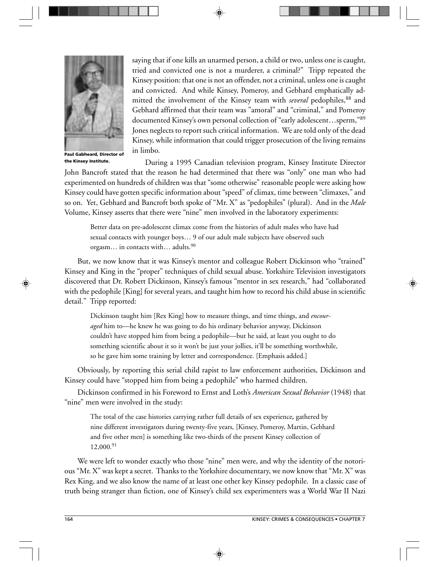

**Paul Gabheard, Director of the Kinsey Institute.**

saying that if one kills an unarmed person, a child or two, unless one is caught, tried and convicted one is not a murderer, a criminal?" Tripp repeated the Kinsey position: that one is not an offender, not a criminal, unless one is caught and convicted. And while Kinsey, Pomeroy, and Gebhard emphatically admitted the involvement of the Kinsey team with *several* pedophiles,<sup>88</sup> and Gebhard affirmed that their team was "amoral" and "criminal," and Pomeroy documented Kinsey's own personal collection of "early adolescent…sperm,"89 Jones neglects to report such critical information. We are told only of the dead Kinsey, while information that could trigger prosecution of the living remains in limbo.

During a 1995 Canadian television program, Kinsey Institute Director John Bancroft stated that the reason he had determined that there was "only" one man who had experimented on hundreds of children was that "some otherwise" reasonable people were asking how Kinsey could have gotten specific information about "speed" of climax, time between "climaxes," and so on. Yet, Gebhard and Bancroft both spoke of "Mr. X" as "pedophiles" (plural). And in the *Male* Volume, Kinsey asserts that there were "nine" men involved in the laboratory experiments:

Better data on pre-adolescent climax come from the histories of adult males who have had sexual contacts with younger boys… 9 of our adult male subjects have observed such orgasm... in contacts with... adults.<sup>90</sup>

But, we now know that it was Kinsey's mentor and colleague Robert Dickinson who "trained" Kinsey and King in the "proper" techniques of child sexual abuse. Yorkshire Television investigators discovered that Dr. Robert Dickinson, Kinsey's famous "mentor in sex research," had "collaborated with the pedophile [King] for several years, and taught him how to record his child abuse in scientific detail." Tripp reported:

Dickinson taught him [Rex King] how to measure things, and time things, and *encouraged* him to—he knew he was going to do his ordinary behavior anyway, Dickinson couldn't have stopped him from being a pedophile—but he said, at least you ought to do something scientific about it so it won't be just your jollies, it'll be something worthwhile, so he gave him some training by letter and correspondence. [Emphasis added.]

Obviously, by reporting this serial child rapist to law enforcement authorities, Dickinson and Kinsey could have "stopped him from being a pedophile" who harmed children.

Dickinson confirmed in his Foreword to Ernst and Loth's *American Sexual Behavior* (1948) that "nine" men were involved in the study:

The total of the case histories carrying rather full details of sex experience*,* gathered by nine different investigators during twenty-five years*,* [Kinsey, Pomeroy, Martin, Gebhard and five other men] is something like two-thirds of the present Kinsey collection of 12,000.91

We were left to wonder exactly who those "nine" men were, and why the identity of the notorious "Mr. X" was kept a secret. Thanks to the Yorkshire documentary, we now know that "Mr. X" was Rex King, and we also know the name of at least one other key Kinsey pedophile. In a classic case of truth being stranger than fiction, one of Kinsey's child sex experimenters was a World War II Nazi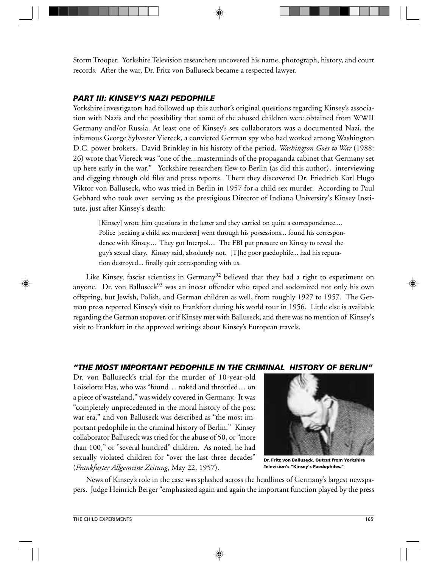Storm Trooper. Yorkshire Television researchers uncovered his name, photograph, history, and court records. After the war, Dr. Fritz von Balluseck became a respected lawyer.

# *PART III: KINSEY'S NAZI PEDOPHILE*

Yorkshire investigators had followed up this author's original questions regarding Kinsey's association with Nazis and the possibility that some of the abused children were obtained from WWII Germany and/or Russia. At least one of Kinsey's sex collaborators was a documented Nazi, the infamous George Sylvester Viereck, a convicted German spy who had worked among Washington D.C. power brokers. David Brinkley in his history of the period, *Washington Goes to War* (1988: 26) wrote that Viereck was "one of the...masterminds of the propaganda cabinet that Germany set up here early in the war." Yorkshire researchers flew to Berlin (as did this author), interviewing and digging through old files and press reports. There they discovered Dr. Friedrich Karl Hugo Viktor von Balluseck, who was tried in Berlin in 1957 for a child sex murder. According to Paul Gebhard who took over serving as the prestigious Director of Indiana University's Kinsey Institute, just after Kinsey's death:

[Kinsey] wrote him questions in the letter and they carried on quite a correspondence.... Police [seeking a child sex murderer] went through his possessions... found his correspondence with Kinsey.... They got Interpol.... The FBI put pressure on Kinsey to reveal the guy's sexual diary. Kinsey said, absolutely not. [T]he poor paedophile... had his reputation destroyed... finally quit corresponding with us.

Like Kinsey, fascist scientists in Germany<sup>92</sup> believed that they had a right to experiment on anyone. Dr. von Balluseck<sup>93</sup> was an incest offender who raped and sodomized not only his own offspring, but Jewish, Polish, and German children as well, from roughly 1927 to 1957. The German press reported Kinsey's visit to Frankfort during his world tour in 1956. Little else is available regarding the German stopover, or if Kinsey met with Balluseck, and there was no mention of Kinsey's visit to Frankfort in the approved writings about Kinsey's European travels.

# *"THE MOST IMPORTANT PEDOPHILE IN THE CRIMINAL HISTORY OF BERLIN"*

Dr. von Balluseck's trial for the murder of 10-year-old Loiselotte Has, who was "found… naked and throttled… on a piece of wasteland," was widely covered in Germany. It was "completely unprecedented in the moral history of the post war era," and von Balluseck was described as "the most important pedophile in the criminal history of Berlin." Kinsey collaborator Balluseck was tried for the abuse of 50, or "more than 100," or "several hundred" children. As noted, he had sexually violated children for "over the last three decades" (*Frankfurter Allgemeine Zeitung*, May 22, 1957).



**Dr. Fritz von Balluseck. Outcut from Yorkshire Television's "Kinsey's Paedophiles."**

News of Kinsey's role in the case was splashed across the headlines of Germany's largest newspapers. Judge Heinrich Berger "emphasized again and again the important function played by the press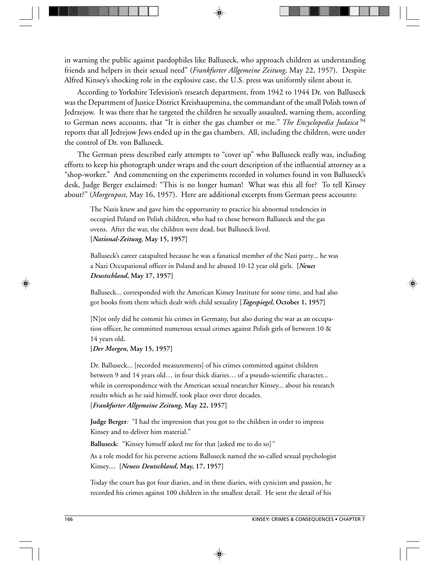in warning the public against paedophiles like Balluseck, who approach children as understanding friends and helpers in their sexual need" (*Frankfurter Allgemeine Zeitung*, May 22, 1957). Despite Alfred Kinsey's shocking role in the explosive case, the U.S. press was uniformly silent about it.

According to Yorkshire Television's research department, from 1942 to 1944 Dr. von Balluseck was the Department of Justice District Kreishauptmina, the commandant of the small Polish town of Jedrzejow. It was there that he targeted the children he sexually assaulted, warning them, according to German news accounts, that "It is either the gas chamber or me." *The Encyclopedia Judaica* <sup>94</sup> reports that all Jedrejow Jews ended up in the gas chambers. All, including the children, were under the control of Dr. von Balluseck.

The German press described early attempts to "cover up" who Balluseck really was, including efforts to keep his photograph under wraps and the court description of the influential attorney as a "shop-worker." And commenting on the experiments recorded in volumes found in von Balluseck's desk, Judge Berger exclaimed: "This is no longer human! What was this all for? To tell Kinsey about?" (*Morgenpost*, May 16, 1957). Here are additional excerpts from German press accounts:

The Nazis knew and gave him the opportunity to practice his abnormal tendencies in occupied Poland on Polish children, who had to chose between Balluseck and the gas ovens. After the war, the children were dead, but Balluseck lived. **[***National-Zeitung,* **May 15, 1957]**

Balluseck's career catapulted because he was a fanatical member of the Nazi party... he was a Nazi Occupational officer in Poland and he abused 10-12 year old girls. **[***Neues Deustschland***, May 17, 1957]**

Balluseck... corresponded with the American Kinsey Institute for some time, and had also got books from them which dealt with child sexuality **[***Tagespiegel***, October 1, 1957]**

[N]ot only did he commit his crimes in Germany, but also during the war as an occupation officer, he committed numerous sexual crimes against Polish girls of between 10 & 14 years old**.**

**[***Der Morgen***, May 15, 1957]**

Dr. Balluseck... [recorded measurements] of his crimes committed against children between 9 and 14 years old… in four thick diaries… of a pseudo-scientific character... while in correspondence with the American sexual researcher Kinsey... about his research results which as he said himself, took place over three decades. **[***Frankfurter Allgemeine Zeitung***, May 22, 1957]**

**Judge Berger***:* "I had the impression that you got to the children in order to impress Kinsey and to deliver him material."

**Balluseck**: "Kinsey himself asked me for that [asked me to do so]*"*

As a role model for his perverse actions Balluseck named the so-called sexual psychologist Kinsey.... **[***Neuess Deutschland***, May, 17, 1957]**

Today the court has got four diaries, and in these diaries, with cynicism and passion, he recorded his crimes against 100 children in the smallest detail. He sent the detail of his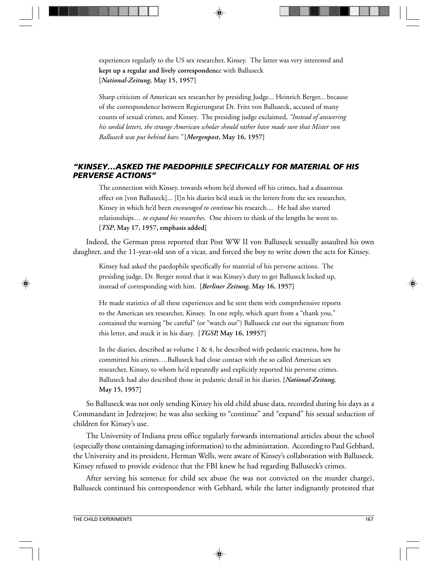experiences regularly to the US sex researcher, Kinsey. The latter was very interested and **kept up a regular and lively correspondenc**e with Balluseck **[***National-Zeitung***, May 15, 1957]**

Sharp criticism of American sex researcher by presiding Judge... Heinrich Berger... because of the correspondence between Regierungsrat Dr. Fritz von Balluseck, accused of many counts of sexual crimes, and Kinsey. The presiding judge exclaimed, *"Instead of answering his sordid letters, the strange American scholar should rather have made sure that Mister von Balluseck was put behind bars."* **[***Morgenpost***, May 16, 1957]**

#### *"KINSEY…ASKED THE PAEDOPHILE SPECIFICALLY FOR MATERIAL OF HIS PERVERSE ACTIONS"*

The connection with Kinsey, towards whom he'd showed off his crimes, had a disastrous effect on [von Balluseck]... [I]n his diaries he'd stuck in the letters from the sex researcher, Kinsey in which he'd been *encouraged to continue* his research.... He had also started relationships… *to expand his researches*. One shivers to think of the lengths he went to. **[***TSP***, May 17, 1957, emphasis added]**

Indeed, the German press reported that Post WW II von Balluseck sexually assaulted his own daughter, and the 11-year-old son of a vicar, and forced the boy to write down the acts for Kinsey.

Kinsey had asked the paedophile specifically for material of his perverse actions. The presiding judge, Dr. Berger noted that it was Kinsey's duty to get Balluseck locked up, instead of corresponding with him. **[***Berliner Zeitung***, May 16, 1957]**

He made statistics of all these experiences and he sent them with comprehensive reports to the American sex researcher, Kinsey. In one reply, which apart from a "thank you," contained the warning "be careful" (or "watch out") Balluseck cut out the signature from this letter, and stuck it in his diary. **[***TGSP,* **May 16, 19957]**

In the diaries, described as volume  $1 \& 4$ , he described with pedantic exactness, how he committed his crimes….Balluseck had close contact with the so called American sex researcher, Kinsey, to whom he'd repeatedly and explicitly reported his perverse crimes. Balluseck had also described those in pedantic detail in his diaries. **[***National-Zeitung,* **May 15, 1957]**

So Balluseck was not only sending Kinsey his old child abuse data, recorded during his days as a Commandant in Jedrzejow; he was also seeking to "continue" and "expand" his sexual seduction of children for Kinsey's use.

The University of Indiana press office regularly forwards international articles about the school (especially those containing damaging information) to the administration. According to Paul Gebhard, the University and its president, Herman Wells, were aware of Kinsey's collaboration with Balluseck. Kinsey refused to provide evidence that the FBI knew he had regarding Balluseck's crimes.

After serving his sentence for child sex abuse (he was not convicted on the murder charge), Balluseck continued his correspondence with Gebhard, while the latter indignantly protested that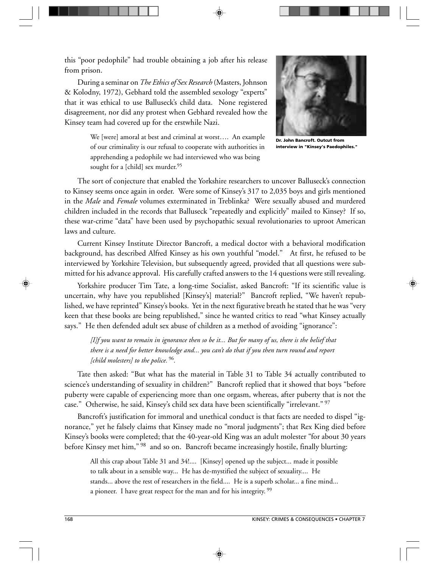this "poor pedophile" had trouble obtaining a job after his release from prison.

During a seminar on *The Ethics of Sex Research* (Masters, Johnson & Kolodny, 1972), Gebhard told the assembled sexology "experts" that it was ethical to use Balluseck's child data. None registered disagreement, nor did any protest when Gebhard revealed how the Kinsey team had covered up for the erstwhile Nazi.



**Dr. John Bancroft. Outcut from interview in "Kinsey's Paedophiles."**

We [were] amoral at best and criminal at worst…. An example of our criminality is our refusal to cooperate with authorities in apprehending a pedophile we had interviewed who was being sought for a [child] sex murder.<sup>95</sup>

The sort of conjecture that enabled the Yorkshire researchers to uncover Balluseck's connection to Kinsey seems once again in order. Were some of Kinsey's 317 to 2,035 boys and girls mentioned in the *Male* and *Female* volumes exterminated in Treblinka? Were sexually abused and murdered children included in the records that Balluseck "repeatedly and explicitly" mailed to Kinsey? If so, these war-crime "data" have been used by psychopathic sexual revolutionaries to uproot American laws and culture.

Current Kinsey Institute Director Bancroft, a medical doctor with a behavioral modification background, has described Alfred Kinsey as his own youthful "model." At first, he refused to be interviewed by Yorkshire Television, but subsequently agreed, provided that all questions were submitted for his advance approval. His carefully crafted answers to the 14 questions were still revealing.

Yorkshire producer Tim Tate, a long-time Socialist, asked Bancroft: "If its scientific value is uncertain, why have you republished [Kinsey's] material?" Bancroft replied, "We haven't republished, we have reprinted" Kinsey's books. Yet in the next figurative breath he stated that he was "very keen that these books are being republished," since he wanted critics to read "what Kinsey actually says." He then defended adult sex abuse of children as a method of avoiding "ignorance":

*[I]f you want to remain in ignorance then so be it... But for many of us, there is the belief that there is a need for better knowledge and... you can't do that if you then turn round and report [child molesters] to the police.*<sup>96</sup>*.*

Tate then asked: "But what has the material in Table 31 to Table 34 actually contributed to science's understanding of sexuality in children?" Bancroft replied that it showed that boys "before puberty were capable of experiencing more than one orgasm, whereas, after puberty that is not the case." Otherwise, he said, Kinsey's child sex data have been scientifically "irrelevant." 97

Bancroft's justification for immoral and unethical conduct is that facts are needed to dispel "ignorance," yet he falsely claims that Kinsey made no "moral judgments"; that Rex King died before Kinsey's books were completed; that the 40-year-old King was an adult molester "for about 30 years before Kinsey met him," <sup>98</sup> and so on. Bancroft became increasingly hostile, finally blurting:

All this crap about Table 31 and 34!.... [Kinsey] opened up the subject... made it possible to talk about in a sensible way... He has de-mystified the subject of sexuality.... He stands... above the rest of researchers in the field.... He is a superb scholar... a fine mind... a pioneer. I have great respect for the man and for his integrity. <sup>99</sup>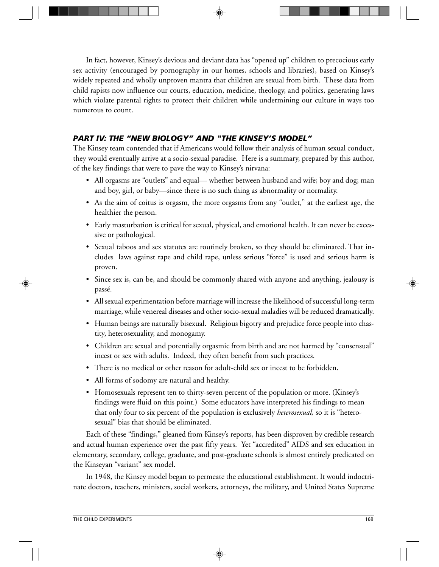In fact, however, Kinsey's devious and deviant data has "opened up" children to precocious early sex activity (encouraged by pornography in our homes, schools and libraries), based on Kinsey's widely repeated and wholly unproven mantra that children are sexual from birth. These data from child rapists now influence our courts, education, medicine, theology, and politics, generating laws which violate parental rights to protect their children while undermining our culture in ways too numerous to count.

# *PART IV: THE "NEW BIOLOGY" AND "THE KINSEY'S MODEL"*

The Kinsey team contended that if Americans would follow their analysis of human sexual conduct, they would eventually arrive at a socio-sexual paradise. Here is a summary, prepared by this author, of the key findings that were to pave the way to Kinsey's nirvana:

- All orgasms are "outlets" and equal— whether between husband and wife; boy and dog; man and boy, girl, or baby—since there is no such thing as abnormality or normality.
- As the aim of coitus is orgasm, the more orgasms from any "outlet," at the earliest age, the healthier the person.
- Early masturbation is critical for sexual, physical, and emotional health. It can never be excessive or pathological.
- Sexual taboos and sex statutes are routinely broken, so they should be eliminated. That includes laws against rape and child rape, unless serious "force" is used and serious harm is proven.
- Since sex is, can be, and should be commonly shared with anyone and anything, jealousy is passé.
- All sexual experimentation before marriage will increase the likelihood of successful long-term marriage, while venereal diseases and other socio-sexual maladies will be reduced dramatically.
- Human beings are naturally bisexual. Religious bigotry and prejudice force people into chastity, heterosexuality, and monogamy.
- Children are sexual and potentially orgasmic from birth and are not harmed by "consensual" incest or sex with adults. Indeed, they often benefit from such practices.
- There is no medical or other reason for adult-child sex or incest to be forbidden.
- All forms of sodomy are natural and healthy.
- Homosexuals represent ten to thirty-seven percent of the population or more. (Kinsey's findings were fluid on this point.) Some educators have interpreted his findings to mean that only four to six percent of the population is exclusively *heterosexual,* so it is "heterosexual" bias that should be eliminated.

Each of these "findings," gleaned from Kinsey's reports, has been disproven by credible research and actual human experience over the past fifty years. Yet "accredited" AIDS and sex education in elementary, secondary, college, graduate, and post-graduate schools is almost entirely predicated on the Kinseyan "variant" sex model.

In 1948, the Kinsey model began to permeate the educational establishment. It would indoctrinate doctors, teachers, ministers, social workers, attorneys, the military, and United States Supreme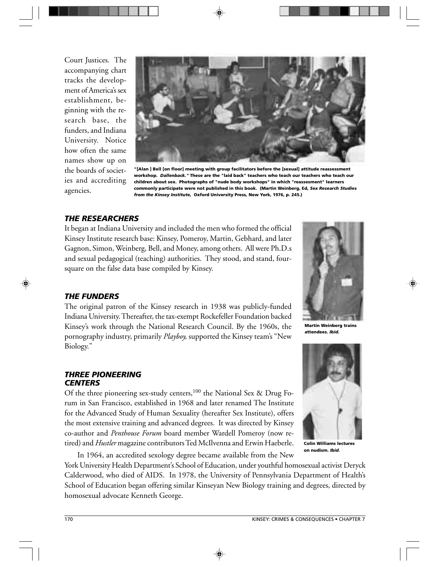Court Justices. The accompanying chart tracks the development of America's sex establishment, beginning with the research base, the funders, and Indiana University. Notice how often the same names show up on the boards of societies and accrediting agencies.



**"[Alan ] Bell [on floor] meeting with group facilitators before the [sexual] attitude reassessment workshop.** *Dallenback."* **These are the "laid back" teachers who teach our teachers who teach our children about sex. Photographs of "nude body workshops" in which "reassesment" learners commonly participate were not published in this book. (Martin Weinberg, Ed,** *Sex Research Studies from the Kinsey Institute,* **Oxford University Press, New York, 1976, p. 245.)**

#### *THE RESEARCHERS*

It began at Indiana University and included the men who formed the official Kinsey Institute research base: Kinsey, Pomeroy, Martin, Gebhard, and later Gagnon, Simon, Weinberg, Bell, and Money, among others. All were Ph.D.s and sexual pedagogical (teaching) authorities. They stood, and stand, foursquare on the false data base compiled by Kinsey.

The original patron of the Kinsey research in 1938 was publicly-funded Indiana University. Thereafter, the tax-exempt Rockefeller Foundation backed

**Martin Weinberg trains attendees.** *Ibid***.**

#### Kinsey's work through the National Research Council. By the 1960s, the pornography industry, primarily *Playboy,* supported the Kinsey team's "New

Biology."

*THE FUNDERS*

#### *THREE PIONEERING CENTERS*

Of the three pioneering sex-study centers,<sup>100</sup> the National Sex & Drug Forum in San Francisco, established in 1968 and later renamed The Institute for the Advanced Study of Human Sexuality (hereafter Sex Institute), offers the most extensive training and advanced degrees. It was directed by Kinsey co-author and *Penthouse Forum* board member Wardell Pomeroy (now retired) and *Hustler* magazine contributors Ted McIlvenna and Erwin Haeberle.

In 1964, an accredited sexology degree became available from the New



**Colin Williams lectures on nudism.** *Ibid***.**

York University Health Department's School of Education, under youthful homosexual activist Deryck Calderwood, who died of AIDS. In 1978, the University of Pennsylvania Department of Health's School of Education began offering similar Kinseyan New Biology training and degrees, directed by homosexual advocate Kenneth George.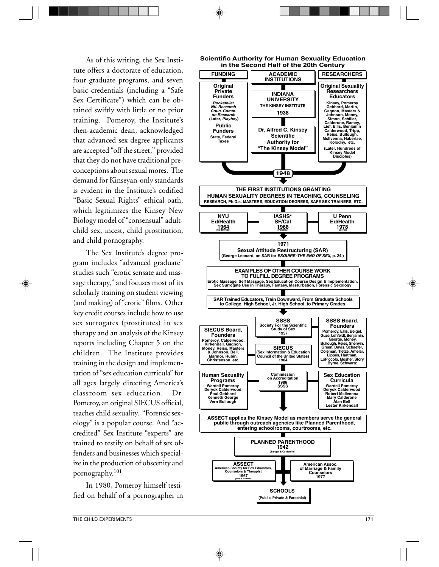As of this writing, the Sex Institute offers a doctorate of education, four graduate programs, and seven basic credentials (including a "Safe Sex Certificate") which can be obtained swiftly with little or no prior training. Pomeroy, the Institute's then-academic dean, acknowledged that advanced sex degree applicants are accepted "off the street," provided that they do not have traditional preconceptions about sexual mores. The demand for Kinseyan-only standards is evident in the Institute's codified "Basic Sexual Rights" ethical oath, which legitimizes the Kinsey New Biology model of "consensual" adultchild sex, incest, child prostitution, and child pornography.

The Sex Institute's degree program includes "advanced graduate" studies such "erotic sensate and massage therapy," and focuses most of its scholarly training on student viewing (and making) of "erotic" films. Other key credit courses include how to use sex surrogates (prostitutes) in sex therapy and an analysis of the Kinsey reports including Chapter 5 on the children. The Institute provides training in the design and implementation of "sex education curricula" for all ages largely directing America's classroom sex education. Dr. Pomeroy, an original SIECUS official, teaches child sexuality. "Forensic sexology" is a popular course. And "accredited" Sex Institute "experts" are trained to testify on behalf of sex offenders and businesses which specialize in the production of obscenity and pornography.<sup>101</sup>

In 1980, Pomeroy himself testified on behalf of a pornographer in



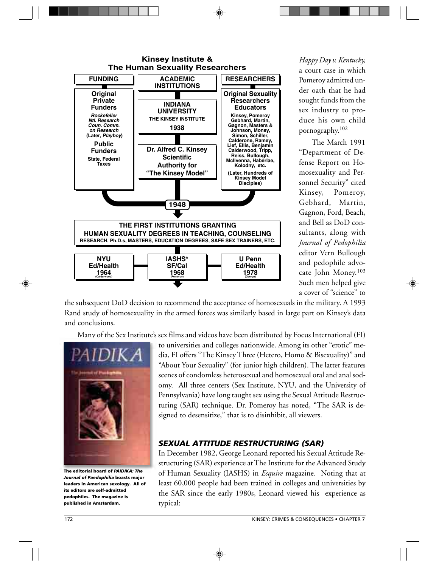

*Happy Day v. Kentucky,* a court case in which Pomeroy admitted under oath that he had sought funds from the sex industry to produce his own child pornography.<sup>102</sup>

The March 1991 "Department of Defense Report on Homosexuality and Personnel Security" cited Kinsey, Pomeroy, Gebhard, Martin, Gagnon, Ford, Beach, and Bell as DoD consultants, along with *Journal of Pedophilia* editor Vern Bullough and pedophile advocate John Money.<sup>103</sup> Such men helped give a cover of "science" to

the subsequent DoD decision to recommend the acceptance of homosexuals in the military. A 1993 Rand study of homosexuality in the armed forces was similarly based in large part on Kinsey's data and conclusions.

Many of the Sex Institute's sex films and videos have been distributed by Focus International (FI)



**The editorial board of** *PAIDIKA: The Journal of Paedophilia* **boasts major leaders in American sexology. All of its editors are self-admitted pedophiles. The magazine is published in Amsterdam.**

to universities and colleges nationwide. Among its other "erotic" media, FI offers "The Kinsey Three (Hetero, Homo & Bisexuality)" and "About Your Sexuality" (for junior high children). The latter features scenes of condomless heterosexual and homosexual oral and anal sodomy. All three centers (Sex Institute, NYU, and the University of Pennsylvania) have long taught sex using the Sexual Attitude Restructuring (SAR) technique. Dr. Pomeroy has noted, "The SAR is designed to desensitize," that is to disinhibit, all viewers.

# *SEXUAL ATTITUDE RESTRUCTURING (SAR)*

In December 1982, George Leonard reported his Sexual Attitude Restructuring (SAR) experience at The Institute for the Advanced Study of Human Sexuality (IASHS) in *Esquire* magazine. Noting that at least 60,000 people had been trained in colleges and universities by the SAR since the early 1980s, Leonard viewed his experience as typical: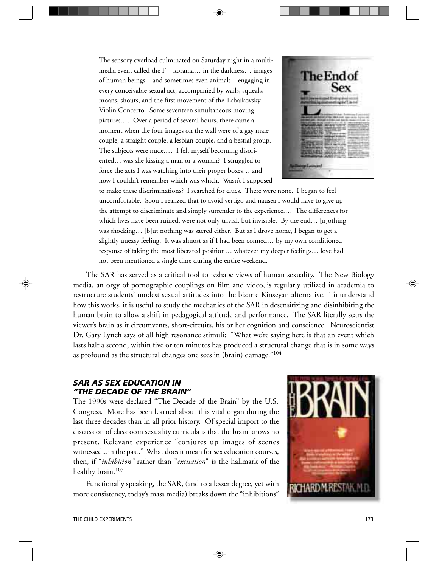The sensory overload culminated on Saturday night in a multimedia event called the F—korama… in the darkness… images of human beings—and sometimes even animals—engaging in every conceivable sexual act, accompanied by wails, squeals, moans, shouts, and the first movement of the Tchaikovsky Violin Concerto. Some seventeen simultaneous moving pictures.… Over a period of several hours, there came a moment when the four images on the wall were of a gay male couple, a straight couple, a lesbian couple, and a bestial group. The subjects were nude.… I felt myself becoming disoriented… was she kissing a man or a woman? I struggled to force the acts I was watching into their proper boxes… and now I couldn't remember which was which. Wasn't I supposed



to make these discriminations? I searched for clues. There were none. I began to feel uncomfortable. Soon I realized that to avoid vertigo and nausea I would have to give up the attempt to discriminate and simply surrender to the experience.… The differences for which lives have been ruined, were not only trivial, but invisible. By the end… [n]othing was shocking… [b]ut nothing was sacred either. But as I drove home, I began to get a slightly uneasy feeling. It was almost as if I had been conned… by my own conditioned response of taking the most liberated position… whatever my deeper feelings… love had not been mentioned a single time during the entire weekend.

The SAR has served as a critical tool to reshape views of human sexuality. The New Biology media, an orgy of pornographic couplings on film and video, is regularly utilized in academia to restructure students' modest sexual attitudes into the bizarre Kinseyan alternative. To understand how this works, it is useful to study the mechanics of the SAR in desensitizing and disinhibiting the human brain to allow a shift in pedagogical attitude and performance. The SAR literally scars the viewer's brain as it circumvents, short-circuits, his or her cognition and conscience. Neuroscientist Dr. Gary Lynch says of all high resonance stimuli: "What we're saying here is that an event which lasts half a second, within five or ten minutes has produced a structural change that is in some ways as profound as the structural changes one sees in (brain) damage."104

#### *SAR AS SEX EDUCATION IN "THE DECADE OF THE BRAIN"*

The 1990s were declared "The Decade of the Brain" by the U.S. Congress. More has been learned about this vital organ during the last three decades than in all prior history. Of special import to the discussion of classroom sexuality curricula is that the brain knows no present. Relevant experience "conjures up images of scenes witnessed...in the past." What does it mean for sex education courses, then, if "*inhibition"* rather than "*excitation*" is the hallmark of the healthy brain.<sup>105</sup>

Functionally speaking, the SAR, (and to a lesser degree, yet with more consistency, today's mass media) breaks down the "inhibitions"

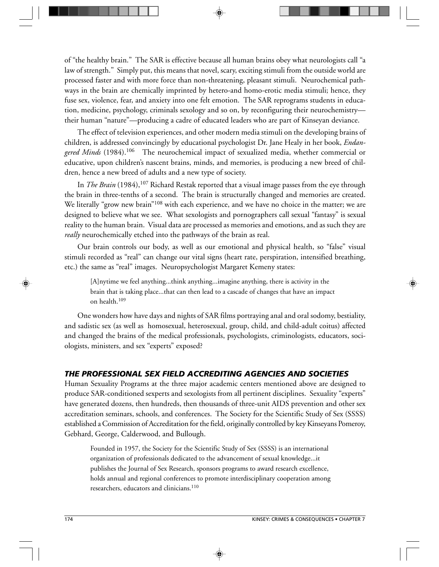of "the healthy brain." The SAR is effective because all human brains obey what neurologists call "a law of strength." Simply put, this means that novel, scary, exciting stimuli from the outside world are processed faster and with more force than non-threatening, pleasant stimuli. Neurochemical pathways in the brain are chemically imprinted by hetero-and homo-erotic media stimuli; hence, they fuse sex, violence, fear, and anxiety into one felt emotion. The SAR reprograms students in education, medicine, psychology, criminals sexology and so on, by reconfiguring their neurochemistry their human "nature"—producing a cadre of educated leaders who are part of Kinseyan deviance.

The effect of television experiences, and other modern media stimuli on the developing brains of children, is addressed convincingly by educational psychologist Dr. Jane Healy in her book, *Endangered Minds* (1984).<sup>106</sup> The neurochemical impact of sexualized media, whether commercial or educative, upon children's nascent brains, minds, and memories, is producing a new breed of children, hence a new breed of adults and a new type of society.

In *The Brain* (1984),<sup>107</sup> Richard Restak reported that a visual image passes from the eye through the brain in three-tenths of a second. The brain is structurally changed and memories are created. We literally "grow new brain"<sup>108</sup> with each experience, and we have no choice in the matter; we are designed to believe what we see. What sexologists and pornographers call sexual "fantasy" is sexual reality to the human brain. Visual data are processed as memories and emotions, and as such they are *really* neurochemically etched into the pathways of the brain as real.

Our brain controls our body, as well as our emotional and physical health, so "false" visual stimuli recorded as "real" can change our vital signs (heart rate, perspiration, intensified breathing, etc.) the same as "real" images. Neuropsychologist Margaret Kemeny states:

[A]nytime we feel anything...think anything...imagine anything, there is activity in the brain that is taking place...that can then lead to a cascade of changes that have an impact on health.<sup>109</sup>

One wonders how have days and nights of SAR films portraying anal and oral sodomy, bestiality, and sadistic sex (as well as homosexual, heterosexual, group, child, and child-adult coitus) affected and changed the brains of the medical professionals, psychologists, criminologists, educators, sociologists, ministers, and sex "experts" exposed?

# *THE PROFESSIONAL SEX FIELD ACCREDITING AGENCIES AND SOCIETIES*

Human Sexuality Programs at the three major academic centers mentioned above are designed to produce SAR-conditioned sexperts and sexologists from all pertinent disciplines. Sexuality "experts" have generated dozens, then hundreds, then thousands of three-unit AIDS prevention and other sex accreditation seminars, schools, and conferences. The Society for the Scientific Study of Sex (SSSS) established a Commission of Accreditation for the field, originally controlled by key Kinseyans Pomeroy, Gebhard, George, Calderwood, and Bullough.

Founded in 1957, the Society for the Scientific Study of Sex (SSSS) is an international organization of professionals dedicated to the advancement of sexual knowledge...it publishes the Journal of Sex Research, sponsors programs to award research excellence, holds annual and regional conferences to promote interdisciplinary cooperation among researchers, educators and clinicians.<sup>110</sup>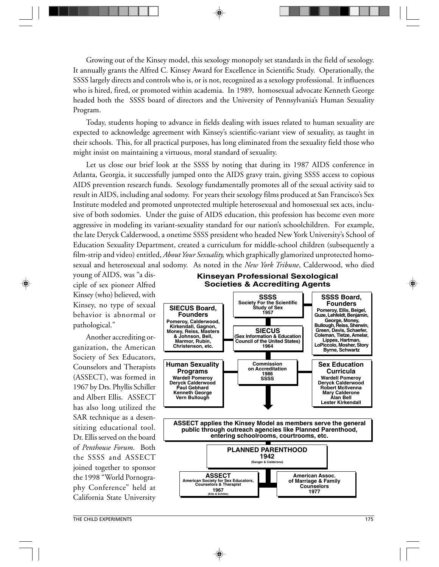Growing out of the Kinsey model, this sexology monopoly set standards in the field of sexology. It annually grants the Alfred C. Kinsey Award for Excellence in Scientific Study. Operationally, the SSSS largely directs and controls who is, or is not, recognized as a sexology professional. It influences who is hired, fired, or promoted within academia. In 1989, homosexual advocate Kenneth George headed both the SSSS board of directors and the University of Pennsylvania's Human Sexuality Program.

Today, students hoping to advance in fields dealing with issues related to human sexuality are expected to acknowledge agreement with Kinsey's scientific-variant view of sexuality, as taught in their schools. This, for all practical purposes, has long eliminated from the sexuality field those who might insist on maintaining a virtuous, moral standard of sexuality.

Let us close our brief look at the SSSS by noting that during its 1987 AIDS conference in Atlanta, Georgia, it successfully jumped onto the AIDS gravy train, giving SSSS access to copious AIDS prevention research funds. Sexology fundamentally promotes all of the sexual activity said to result in AIDS, including anal sodomy. For years their sexology films produced at San Francisco's Sex Institute modeled and promoted unprotected multiple heterosexual and homosexual sex acts, inclusive of both sodomies. Under the guise of AIDS education, this profession has become even more aggressive in modeling its variant-sexuality standard for our nation's schoolchildren. For example, the late Deryck Calderwood, a onetime SSSS president who headed New York University's School of Education Sexuality Department, created a curriculum for middle-school children (subsequently a film-strip and video) entitled, *About Your Sexuality,* which graphically glamorized unprotected homosexual and heterosexual anal sodomy. As noted in the *New York Tribune*, Calderwood, who died

young of AIDS, was "a disciple of sex pioneer Alfred Kinsey (who) believed, with Kinsey, no type of sexual behavior is abnormal or pathological."

Another accrediting organization, the American Society of Sex Educators, Counselors and Therapists (ASSECT), was formed in 1967 by Drs. Phyllis Schiller and Albert Ellis. ASSECT has also long utilized the SAR technique as a desensitizing educational tool. Dr. Ellis served on the board of *Penthouse Forum*. Both the SSSS and ASSECT joined together to sponsor the 1998 "World Pornography Conference" held at California State University



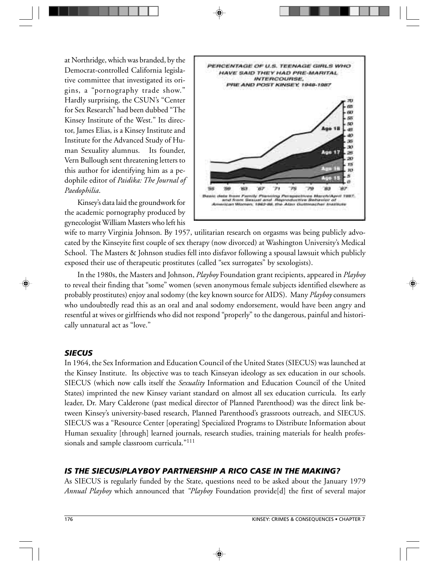at Northridge, which was branded, by the Democrat-controlled California legislative committee that investigated its origins, a "pornography trade show." Hardly surprising, the CSUN's "Center for Sex Research" had been dubbed "The Kinsey Institute of the West." Its director, James Elias, is a Kinsey Institute and Institute for the Advanced Study of Human Sexuality alumnus. Its founder, Vern Bullough sent threatening letters to this author for identifying him as a pedophile editor of *Paidika: The Journal of Paedophilia*.

Kinsey's data laid the groundwork for the academic pornography produced by gynecologist William Masters who left his



wife to marry Virginia Johnson. By 1957, utilitarian research on orgasms was being publicly advocated by the Kinseyite first couple of sex therapy (now divorced) at Washington University's Medical School. The Masters & Johnson studies fell into disfavor following a spousal lawsuit which publicly exposed their use of therapeutic prostitutes (called "sex surrogates" by sexologists).

In the 1980s, the Masters and Johnson, *Playboy* Foundation grant recipients, appeared in *Playboy* to reveal their finding that "some" women (seven anonymous female subjects identified elsewhere as probably prostitutes) enjoy anal sodomy (the key known source for AIDS). Many *Playboy* consumers who undoubtedly read this as an oral and anal sodomy endorsement, would have been angry and resentful at wives or girlfriends who did not respond "properly" to the dangerous, painful and historically unnatural act as "love."

# *SIECUS*

In 1964, the Sex Information and Education Council of the United States (SIECUS) was launched at the Kinsey Institute. Its objective was to teach Kinseyan ideology as sex education in our schools. SIECUS (which now calls itself the *Sexuality* Information and Education Council of the United States) imprinted the new Kinsey variant standard on almost all sex education curricula. Its early leader, Dr. Mary Calderone (past medical director of Planned Parenthood) was the direct link between Kinsey's university-based research, Planned Parenthood's grassroots outreach, and SIECUS. SIECUS was a "Resource Center [operating] Specialized Programs to Distribute Information about Human sexuality [through] learned journals, research studies, training materials for health professionals and sample classroom curricula."111

# *IS THE SIECUS/PLAYBOY PARTNERSHIP A RICO CASE IN THE MAKING?*

As SIECUS is regularly funded by the State, questions need to be asked about the January 1979 *Annual Playboy* which announced that *"Playboy* Foundation provide[d] the first of several major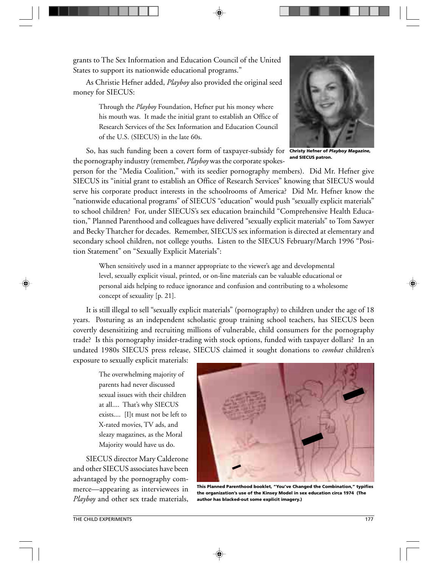grants to The Sex Information and Education Council of the United States to support its nationwide educational programs."

As Christie Hefner added, *Playboy* also provided the original seed money for SIECUS:

> Through the *Playboy* Foundation, Hefner put his money where his mouth was. It made the initial grant to establish an Office of Research Services of the Sex Information and Education Council of the U.S. (SIECUS) in the late 60s.



person for the "Media Coalition," with its seedier pornography members). Did Mr. Hefner give SIECUS its "initial grant to establish an Office of Research Services" knowing that SIECUS would serve his corporate product interests in the schoolrooms of America? Did Mr. Hefner know the "nationwide educational programs" of SIECUS "education" would push "sexually explicit materials" to school children? For, under SIECUS's sex education brainchild "Comprehensive Health Education," Planned Parenthood and colleagues have delivered "sexually explicit materials" to Tom Sawyer and Becky Thatcher for decades. Remember, SIECUS sex information is directed at elementary and secondary school children, not college youths. Listen to the SIECUS February/March 1996 "Position Statement" on "Sexually Explicit Materials":

When sensitively used in a manner appropriate to the viewer's age and developmental level, sexually explicit visual, printed, or on-line materials can be valuable educational or personal aids helping to reduce ignorance and confusion and contributing to a wholesome concept of sexuality [p. 21].

It is still illegal to sell "sexually explicit materials" (pornography) to children under the age of 18 years. Posturing as an independent scholastic group training school teachers, has SIECUS been covertly desensitizing and recruiting millions of vulnerable, child consumers for the pornography trade? Is this pornography insider-trading with stock options, funded with taxpayer dollars? In an undated 1980s SIECUS press release, SIECUS claimed it sought donations to *combat* children's exposure to sexually explicit materials:

The overwhelming majority of parents had never discussed sexual issues with their children at all.... That's why SIECUS exists.... [I]t must not be left to X-rated movies, TV ads, and sleazy magazines, as the Moral Majority would have us do.

SIECUS director Mary Calderone and other SIECUS associates have been advantaged by the pornography commerce—appearing as interviewees in *Playboy* and other sex trade materials,



**This Planned Parenthood booklet, "You've Changed the Combination," typifies the organization's use of the Kinsey Model in sex education circa 1974 (The author has blacked-out some explicit imagery.)**



**and SIECUS patron.**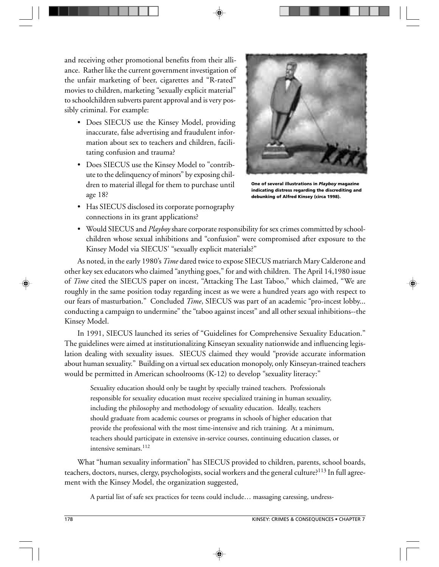and receiving other promotional benefits from their alliance. Rather like the current government investigation of the unfair marketing of beer, cigarettes and "R-rated" movies to children, marketing "sexually explicit material" to schoolchildren subverts parent approval and is very possibly criminal. For example:

- Does SIECUS use the Kinsey Model, providing inaccurate, false advertising and fraudulent information about sex to teachers and children, facilitating confusion and trauma?
- Does SIECUS use the Kinsey Model to "contribute to the delinquency of minors" by exposing children to material illegal for them to purchase until age 18?



**One of several illustrations in** *Playboy* **magazine indicating distress regarding the discrediting and debunking of Alfred Kinsey (circa 1998).**

- Has SIECUS disclosed its corporate pornography connections in its grant applications?
- Would SIECUS and *Playboy*share corporate responsibility for sex crimes committed by schoolchildren whose sexual inhibitions and "confusion" were compromised after exposure to the Kinsey Model via SIECUS' "sexually explicit materials?"

As noted, in the early 1980's *Time* dared twice to expose SIECUS matriarch Mary Calderone and other key sex educators who claimed "anything goes," for and with children. The April 14,1980 issue of *Time* cited the SIECUS paper on incest, "Attacking The Last Taboo," which claimed, "We are roughly in the same position today regarding incest as we were a hundred years ago with respect to our fears of masturbation." Concluded *Time*, SIECUS was part of an academic "pro-incest lobby... conducting a campaign to undermine" the "taboo against incest" and all other sexual inhibitions--the Kinsey Model.

In 1991, SIECUS launched its series of "Guidelines for Comprehensive Sexuality Education." The guidelines were aimed at institutionalizing Kinseyan sexuality nationwide and influencing legislation dealing with sexuality issues. SIECUS claimed they would "provide accurate information about human sexuality." Building on a virtual sex education monopoly, only Kinseyan-trained teachers would be permitted in American schoolrooms (K-12) to develop "sexuality literacy:"

Sexuality education should only be taught by specially trained teachers. Professionals responsible for sexuality education must receive specialized training in human sexuality, including the philosophy and methodology of sexuality education. Ideally, teachers should graduate from academic courses or programs in schools of higher education that provide the professional with the most time-intensive and rich training. At a minimum, teachers should participate in extensive in-service courses, continuing education classes, or intensive seminars.<sup>112</sup>

What "human sexuality information" has SIECUS provided to children, parents, school boards, teachers, doctors, nurses, clergy, psychologists, social workers and the general culture?<sup>113</sup> In full agreement with the Kinsey Model, the organization suggested,

A partial list of safe sex practices for teens could include… massaging caressing, undress-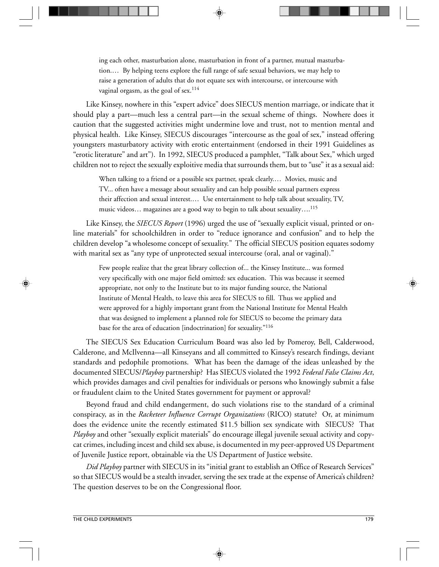ing each other, masturbation alone, masturbation in front of a partner, mutual masturbation.… By helping teens explore the full range of safe sexual behaviors, we may help to raise a generation of adults that do not equate sex with intercourse, or intercourse with vaginal orgasm, as the goal of sex.<sup>114</sup>

Like Kinsey, nowhere in this "expert advice" does SIECUS mention marriage, or indicate that it should play a part—much less a central part—in the sexual scheme of things. Nowhere does it caution that the suggested activities might undermine love and trust, not to mention mental and physical health. Like Kinsey, SIECUS discourages "intercourse as the goal of sex," instead offering youngsters masturbatory activity with erotic entertainment (endorsed in their 1991 Guidelines as "erotic literature" and art"). In 1992, SIECUS produced a pamphlet, "Talk about Sex," which urged children not to reject the sexually exploitive media that surrounds them, but to "use" it as a sexual aid:

When talking to a friend or a possible sex partner, speak clearly.… Movies, music and TV... often have a message about sexuality and can help possible sexual partners express their affection and sexual interest.… Use entertainment to help talk about sexuality, TV, music videos... magazines are a good way to begin to talk about sexuality....<sup>115</sup>

Like Kinsey, the *SIECUS Report* (1996) urged the use of "sexually explicit visual, printed or online materials" for schoolchildren in order to "reduce ignorance and confusion" and to help the children develop "a wholesome concept of sexuality." The official SIECUS position equates sodomy with marital sex as "any type of unprotected sexual intercourse (oral, anal or vaginal)."

Few people realize that the great library collection of... the Kinsey Institute... was formed very specifically with one major field omitted: sex education. This was because it seemed appropriate, not only to the Institute but to its major funding source, the National Institute of Mental Health, to leave this area for SIECUS to fill. Thus we applied and were approved for a highly important grant from the National Institute for Mental Health that was designed to implement a planned role for SIECUS to become the primary data base for the area of education [indoctrination] for sexuality."116

The SIECUS Sex Education Curriculum Board was also led by Pomeroy, Bell, Calderwood, Calderone, and McIlvenna—all Kinseyans and all committed to Kinsey's research findings, deviant standards and pedophile promotions. What has been the damage of the ideas unleashed by the documented SIECUS/*Playboy* partnership? Has SIECUS violated the 1992 *Federal False Claims Act*, which provides damages and civil penalties for individuals or persons who knowingly submit a false or fraudulent claim to the United States government for payment or approval?

Beyond fraud and child endangerment, do such violations rise to the standard of a criminal conspiracy, as in the *Racketeer Influence Corrupt Organizations* (RICO) statute? Or, at minimum does the evidence unite the recently estimated \$11.5 billion sex syndicate with SIECUS? That *Playboy* and other "sexually explicit materials" do encourage illegal juvenile sexual activity and copycat crimes, including incest and child sex abuse, is documented in my peer-approved US Department of Juvenile Justice report, obtainable via the US Department of Justice website.

*Did Playboy* partner with SIECUS in its "initial grant to establish an Office of Research Services" so that SIECUS would be a stealth invader, serving the sex trade at the expense of America's children? The question deserves to be on the Congressional floor.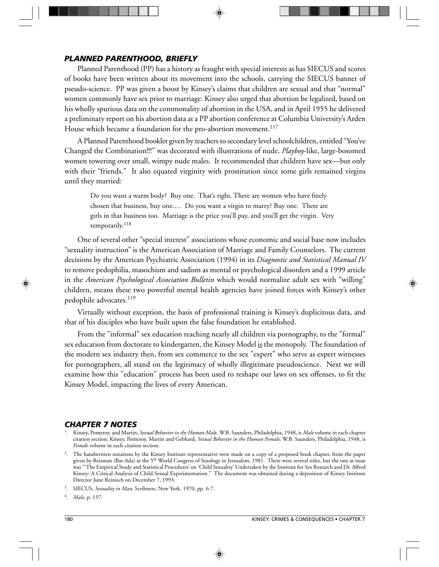#### *PLANNED PARENTHOOD, BRIEFLY*

Planned Parenthood (PP) has a history as fraught with special interests as has SIECUS and scores of books have been written about its movement into the schools, carrying the SIECUS banner of pseudo-science. PP was given a boost by Kinsey's claims that children are sexual and that "normal" women commonly have sex prior to marriage. Kinsey also urged that abortion be legalized, based on his wholly spurious data on the commonality of abortion in the USA, and in April 1955 he delivered a preliminary report on his abortion data at a PP abortion conference at Columbia University's Arden House which became a foundation for the pro-abortion movement.<sup>117</sup>

A Planned Parenthood booklet given by teachers to secondary level schoolchildren, entitled "You've Changed the Combination!!!" was decorated with illustrations of nude, *Playboy*-like, large-bosomed women towering over small, wimpy nude males. It recommended that children have sex—but only with their "friends." It also equated virginity with prostitution since some girls remained virgins until they married:

Do you want a warm body? Buy one. That's right. There are women who have freely chosen that business, buy one.… Do you want a virgin to marry? Buy one. There are girls in that business too. Marriage is the price you'll pay, and you'll get the virgin. Very temporarily.<sup>118</sup>

One of several other "special interest" associations whose economic and social base now includes "sexuality instruction" is the American Association of Marriage and Family Counselors. The current decisions by the American Psychiatric Association (1994) in its *Diagnostic and Statistical Manual IV* to remove pedophilia, masochism and sadism as mental or psychological disorders and a 1999 article in the *American Psychological Association Bulletin* which would normalize adult sex with "willing" children, means these two powerful mental health agencies have joined forces with Kinsey's other pedophile advocates.<sup>119</sup>

Virtually without exception, the basis of professional training is Kinsey's duplicitous data, and that of his disciples who have built upon the false foundation he established.

From the "informal" sex education reaching nearly all children via pornography, to the "formal" sex education from doctorate to kindergarten, the Kinsey Model is the monopoly. The foundation of the modern sex industry then, from sex commerce to the sex "expert" who serve as expert witnesses for pornographers, all stand on the legitimacy of wholly illegitimate pseudoscience. Next we will examine how this "education" process has been used to reshape our laws on sex offenses, to fit the Kinsey Model, impacting the lives of every American.

#### *CHAPTER 7 NOTES*

- 1. Kinsey, Pomeroy, and Martin, *Sexual Behavior in the Human Mal*e, W.B. Saunders, Philadelphia, 1948, is *Male* volumein each chapter citation section; Kinsey, Pomeroy, Martin and Gebhard, *Sexual Behavior in the Human Female,* W.B. Saunders, Philadelphia, 1948, is *Female* volume in each citation section.
- 2. The handwritten notations by the Kinsey Institute representative were made on a copy of a proposed book chapter, from the paper given by Reisman (Bat-Ada) at the 5<sup>th</sup> World Congress of Sexology in Jerusalem, 1981. There were several titles, but the one at issue was "'The Empirical Study and Statistical Procedures' on 'Child Sexuality' Undertaken by the Institute for Sex Research and Dr. Alfred Kinsey: A Critical Analysis of Child Sexual Experimentation.'' The document was obtained during a deposition of Kinsey Institute Director June Reinisch on December 7, 1993.
- 3. SIECUS, *Sexuality in Man,* Scribners, New York, 1970, pp. 6-7.

<sup>4.</sup> *Male*, p. 157.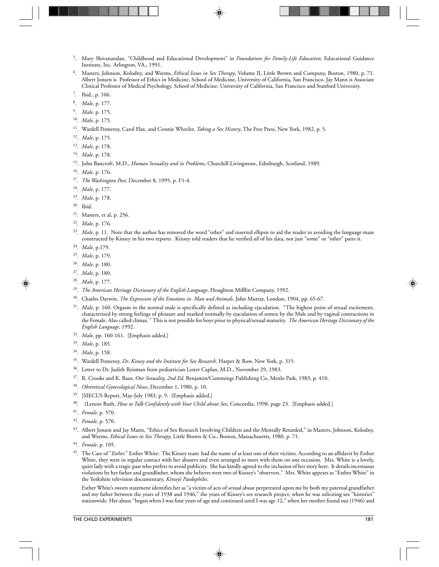- 5. Mary Shivanandan, "Childhood and Educational Development" in *Foundations for Family-Life Education,* Educational Guidance Institute, Inc. Arlington, VA., 1991.
- 6. Masters, Johnson, Kolodny, and Weems, *Ethical Issues in Sex Therapy*, Volume II, Little Brown and Company, Boston, 1980, p. 71. Albert Jonsen is Professor of Ethics in Medicine, School of Medicine, University of California, San Francisco. Jay Mann is Associate Clinical Professor of Medical Psychology, School of Medicine, University of California, San Francisco and Stanford University.
- 7. Ibid., p. 106.
- 8. *Male,* p. 177.
- 9. *Male,* p. 175.
- 10. *Male*, p. 175.
- 11. Wardell Pomeroy, Carol Flax, and Connie Wheeler, *Taking a Sex History*, The Free Press, New York, 1982, p. 5.
- 12. *Male*, p. 175.
- 13. *Male*, p. 178.
- 14. *Male*, p. 178.
- 15. John Bancroft, M.D., *Human Sexuality and its Problems*, Churchill Livingstone, Edinburgh, Scotland, 1989.
- 16. *Male,* p. 176.
- 17. *The Washington Post*, December 8, 1995, p. F1-4.
- 18. *Male*, p. 177.
- 19. *Male*, p. 178.
- 20. Ibid.
- 21. Masters, et al, p. 256.
- 22. *Male*, p. 176.
- <sup>23</sup>. Male, p. 11. Note that the author has removed the word "other" and inserted ellipsis to aid the reader in avoiding the language maze constructed by Kinsey in his two reports. Kinsey told readers that he verified *all* of his data, not just "some" or "other" parts it.
- 24. *Male*, p.179.
- 25. *Male*, p. 179.
- 26. *Male*, p. 180.
- 27. *Male*, p. 180.
- 28. *Male*, p. 177.
- 29. *The American Heritage Dictionary of the English Language*, Houghton Mifflin Company, 1992.
- 30. Charles Darwin, *The Expression of the Emotions in Man and Animals*, John Murray, London, 1904, pp. 65-67.
- <sup>31</sup>. *Male*, p. 160. Orgasm in the normal male is specifically defined as including ejaculation. "The highest point of sexual excitement, characterized by strong feelings of pleasure and marked normally by ejaculation of semen by the Male and by vaginal contractions in the Female. Also called climax*."* This is not possible for boys prior to physical/sexual maturity. *The American Heritage Dictionary of the English Language*, 1992.
- 32. *Male,* pp. 160-161. [Emphasis added.]
- 33. *Male*, p. 185.
- 34. *Male*, p. 158.
- 35. Wardell Pomeroy, *Dr. Kinsey and the Institute for Sex Research,* Harper & Row, New York, p. 315.
- 36. Letter to Dr. Judith Reisman from pediatrician Lester Caplan, M.D., November 29, 1983.
- 37. R. Crooks and K. Baur, *Our Sexuality, 2nd Ed,* Benjamin/Cummings Publishing Co, Menlo Park, 1983, p. 410.
- 38. *Obstretical Gynecological News*, December 1, 1980, p. 10.
- 39. [SIECUS Report, May-July 1983, p. 9. [Emphasis added.]
- <sup>40</sup>*.* (Lenore Buth, *How to Talk Confidently with Your Child about Sex*, Concordia, 1998, page 23. [Emphasis added.]
- 41. *Female,* p. 570.
- 42. *Female,* p. 570.
- 43. Albert Jonsen and Jay Mann, "Ethics of Sex Research Involving Children and the Mentally Retarded," in Masters, Johnson, Kolodny, and Weems, *Ethical Issues in Sex Therapy*, Little Brown & Co., Boston, Massachusetts, 1980, p. 71.
- 44. *Female*, p. 105.
- 45. The Case of "*Esther,*" Esther White: The Kinsey team had the name of at least one of their victims. According to an affidavit by Esther White, they were in regular contact with her abusers and even arranged to meet with them on one occasion. Mrs. White is a lovely, quiet lady with a tragic past who prefers to avoid publicity. She has kindly agreed to the inclusion of her story here. It details incestuous violations by her father and grandfather, whom she believes were two of Kinsey's "observers." Mrs. White appears as "Esther White" in the Yorkshire television documentary, *Kinsey's Paedophiles.*

Esther White's sworn statement identifies her as "a victim of acts of sexual abuse perpetrated upon me by both my paternal grandfather and my father between the years of 1938 and 1946," the years of Kinsey's sex research project, when he was soliciting sex "histories" nationwide. Her abuse "began when I was four years of age and continued until I was age 12," when her mother found out (1946) and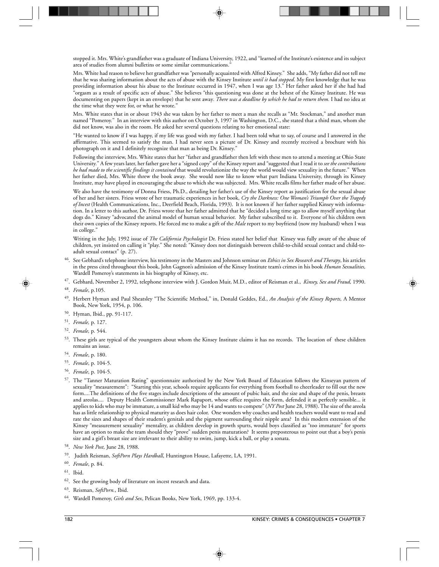stopped it. Mrs. White's grandfather was a graduate of Indiana University, 1922, and "learned of the Institute's existence and its subject area of studies from alumni bulletins or some similar communications."

Mrs. White had reason to believe her grandfather was "personally acquainted with Alfred Kinsey." She adds, "My father did not tell me that he was sharing information about the acts of abuse with the Kinsey Institute *until it had stopped*. My first knowledge that he was providing information about his abuse to the Institute occurred in 1947, when I was age 13." Her father asked her if she had had "orgasm as a result of specific acts of abuse." She believes "this questioning was done at the behest of the Kinsey Institute. He was documenting on papers (kept in an envelope) that he sent away*. There was a deadline by which he had to return them.* I had no idea at the time what they were for, or what he wrote."

Mrs. White states that in or about 1943 she was taken by her father to meet a man she recalls as "Mr. Stockman," and another man named "Pomeroy." In an interview with this author on October 3, 1997 in Washington, D.C., she stated that a third man, whom she did not know, was also in the room. He asked her several questions relating to her emotional state:

"He wanted to know if I was happy, if my life was good with my father. I had been told what to say, of course and I answered in the affirmative. This seemed to satisfy the man. I had never seen a picture of Dr. Kinsey and recently received a brochure with his photograph on it and I definitely recognize that man as being Dr. Kinsey."

Following the interview, Mrs. White states that her "father and grandfather then left with these men to attend a meeting at Ohio State University." A few years later, her father gave her a "signed copy" of the Kinsey report and "suggested that I read it to *see the contributions he had made to the scientific findings it contained* that would revolutionize the way the world would view sexuality in the future." When her father died, Mrs. White threw the book away. She would now like to know what part Indiana University, through its Kinsey Institute, may have played in encouraging the abuse to which she was subjected. Mrs. White recalls films her father made of her abuse.

We also have the testimony of Donna Friess, Ph.D., detailing her father's use of the Kinsey report as justification for the sexual abuse of her and her sisters. Friess wrote of her traumatic experiences in her book, *Cry the Darkness: One Woman's Triumph Over the Tragedy of Incest* (Health Communications, Inc., Deerfield Beach, Florida, 1993). It is not known if her father supplied Kinsey with information. In a letter to this author, Dr. Friess wrote that her father admitted that he "decided a long time ago to allow myself anything that dogs do." Kinsey "advocated the animal model of human sexual behavior. My father subscribed to it. Everyone of his children own their own copies of the Kinsey reports. He forced me to make a gift of the *Male* report to my boyfriend (now my husband) when I was in college.'

Writing in the July, 1992 issue of *The California Psychologist* Dr. Friess stated her belief that Kinsey was fully aware of the abuse of children, yet insisted on calling it "play." She noted: "Kinsey does not distinguish between child-to-child sexual contact and child-toadult sexual contact" (p. 27).

- 46. See Gebhard's telephone interview, his testimony in the Masters and Johnson seminar on *Ethics in Sex Research and Therapy*, his articles in the press cited throughout this book, John Gagnon's admission of the Kinsey Institute team's crimes in his book *Human Sexualities,* Wardell Pomeroy's statements in his biography of Kinsey, etc.
- 47. Gebhard, November 2, 1992, telephone interview with J. Gordon Muir, M.D., editor of Reisman et al., *Kinsey, Sex and Fraud,* 1990. 48. *Female*, p.105.
- 49. Herbert Hyman and Paul Sheatsley "The Scientific Method," in, Donald Geddes, Ed., *An Analysis of the Kinsey Reports,* A Mentor Book, New York, 1954, p. 106.
- 50. Hyman, Ibid., pp. 91-117.
- 51. *Female,* p. 127.
- 52. *Female,* p. 544.
- 53. These girls are typical of the youngsters about whom the Kinsey Institute claims it has no records. The location of these children remains an issue.
- 54. *Female*, p. 180.
- 55. *Female*, p. 104-5.
- 56. *Female*, p. 104-5.
- 57. The "Tanner Maturation Rating" questionnaire authorized by the New York Board of Education follows the Kinseyan pattern of sexuality "measurement": "Starting this year, schools require applicants for everything from football to cheerleader to fill out the new form....The definitions of the five stages include descriptions of the amount of pubic hair, and the size and shape of the penis, breasts and areolas.... Deputy Health Commissioner Mark Rapaport, whose office requires the form, defended it as perfectly sensible... it applies to kids who may be immature, a small kid who may be 14 and wants to compete" (*NY Post* June 28, 1988). The size of the areola has as little relationship to physical maturity as does hair color. One wonders why coaches and health teachers would want to read and rate the sizes and shapes of their student's genitals and the pigment surrounding their nipple area? In this modern extension of the Kinsey "measurement sexuality" mentality, as children develop in growth spurts, would boys classified as "too immature" for sports have an option to make the team should they "prove" sudden penis maturation? It seems preposterous to point out that a boy's penis size and a girl's breast size are irrelevant to their ability to swim, jump, kick a ball, or play a sonata.
- 58. *New York Post,* June 28, 1988.
- 59. Judith Reisman, *SoftPorn Plays Hardball*, Huntington House, Lafayette, LA, 1991.
- 60. *Female*, p. 84.
- 61. Ibid.
- 62. See the growing body of literature on incest research and data.
- 63. Reisman, *SoftPorn.*, Ibid.
- 64. Wardell Pomeroy, *Girls and Sex*, Pelican Books, New York, 1969, pp. 133-4.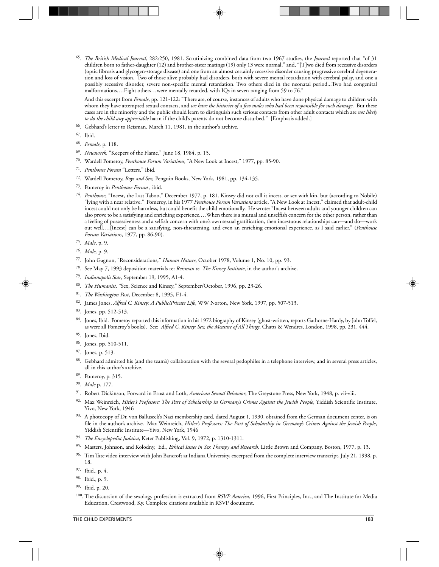65. *The British Medical Journal,* 282:250, 1981. Scrutinizing combined data from two 1967 studies, the *Journal* reported that "of 31 children born to father-daughter (12) and brother-sister matings (19) only 13 were normal," and, "[T]wo died from recessive disorders (optic fibrosis and glycogen-storage disease) and one from an almost certainly recessive disorder causing progressive cerebral degeneration and loss of vision. Two of those alive probably had disorders, both with severe mental retardation with cerebral palsy, and one a possibly recessive disorder, severe non-specific mental retardation. Two others died in the neonatal period...Two had congenital malformations.…Eight others…were mentally retarded, with IQs in seven ranging from 59 to 76."

And this excerpt from *Female*, pp. 121-122: "There are, of course, instances of adults who have done physical damage to children with whom they have attempted sexual contacts, and *we have the histories of a few males who had been responsible for such damage*. But these cases are in the minority and the public should learn to distinguish such serious contacts from other adult contacts which are *not likely to do the child any appreciable* harm if the child's parents do not become disturbed." [Emphasis added.]

- 66. Gebhard's letter to Reisman, March 11, 1981, in the author's archive.
- 67. Ibid.
- 68. *Female*, p. 118.
- 69. *Newsweek,* "Keepers of the Flame," June 18, 1984, p. 15.
- 70. Wardell Pomeroy, *Penthouse Forum Variations,* "A New Look at Incest," 1977, pp. 85-90.
- 71. *Penthouse Forum* "Letters," Ibid.
- 72. Wardell Pomeroy, *Boys and Sex,* Penguin Books, New York, 1981, pp. 134-135.
- 73. Pomeroy in *Penthouse Forum* , ibid.
- <sup>74</sup>. Penthouse, "Incest, the Last Taboo," December 1977, p. 181. Kinsey did not call it incest, or sex with kin, but (according to Nobile) "lying with a near relative." Pomeroy, in his 1977 *Penthouse Forum Variations* article, "A New Look at Incest," claimed that adult-child incest could not only be harmless, but could benefit the child emotionally.He wrote: "Incest between adults and younger children can also prove to be a satisfying and enriching experience.…When there is a mutual and unselfish concern for the other person, rather than a feeling of possessiveness and a selfish concern with one's own sexual gratification, then incestuous relationships can—and do—work out well.…[Incest] can be a satisfying, non-threatening, and even an enriching emotional experience, as I said earlier." (*Penthouse Forum Variations*, 1977, pp. 86-90).
- 75. *Male*, p. 9.
- 76. *Male,* p. 9.
- 77. John Gagnon, "Reconsiderations," *Human Nature*, October 1978, Volume 1, No. 10, pp. 93.
- 78. See May 7, 1993 deposition materials re: *Reisman vs. The Kinsey Institute*, in the author's archive.
- 79. *Indianapolis Star*, September 19, 1995, A1-4.
- 80. *The Humanist, "*Sex, Science and Kinsey," September/October, 1996, pp. 23-26.
- 81. *The Washington Post*, December 8, 1995, F1-4.
- 82. James Jones, *Alfred C. Kinsey: A Public/Private Life*, WW Norton, New York, 1997, pp. 507-513.
- 83. Jones, pp. 512-513.
- 84. Jones, Ibid. Pomeroy reported this information in his 1972 biography of Kinsey (ghost-written, reports Gathorne-Hardy, by John Toffel, as were all Pomeroy's books). See: *Alfred C. Kinsey: Sex, the Measure of All Things*, Chatts & Wendres, London, 1998, pp. 231, 444.
- 85. Jones, Ibid.
- 86. Jones, pp. 510-511.
- 87. Jones, p. 513.
- 88. Gebhard admitted his (and the team's) collaboration with the several pedophiles in a telephone interview, and in several press articles, all in this author's archive.
- 89. Pomeroy, p. 315.
- 90. *Male* p. 177.
- 91. Robert Dickinson, Forward in Ernst and Loth, *American Sexual Behavior*, The Greystone Press, New York, 1948, p. vii-viii.
- 92. Max Weinreich, *Hitler's Professors: The Part of Scholarship in Germany's Crimes Against the Jewish People*, Yiddish Scientific Institute, Yivo, New York, 1946
- 93. A photocopy of Dr. von Balluseck's Nazi membership card, dated August 1, 1930, obtained from the German document center, is on file in the author's archive. Max Weinreich, *Hitler's Professors: The Part of Scholarship in Germany's Crimes Against the Jewish People*, Yiddish Scientific Institute—Yivo, New York, 1946
- 94. *The Encyclopedia Judaica*, Keter Publishing, Vol. 9, 1972, p. 1310-1311.
- 95. Masters, Johnson, and Kolodny, Ed., *Ethical Issues in Sex Therapy and Research,* Little Brown and Company, Boston, 1977, p. 13.
- 96. Tim Tate video interview with John Bancroft at Indiana University, excerpted from the complete interview transcript, July 21, 1998, p. 18.
- 97. Ibid., p. 4.
- 98. Ibid., p. 9.
- 99. Ibid. p. 20.
- 100. The discussion of the sexology profession is extracted from *RSVP America*, 1996, First Principles, Inc., and The Institute for Media Education, Crestwood, Ky. Complete citations available in RSVP document.